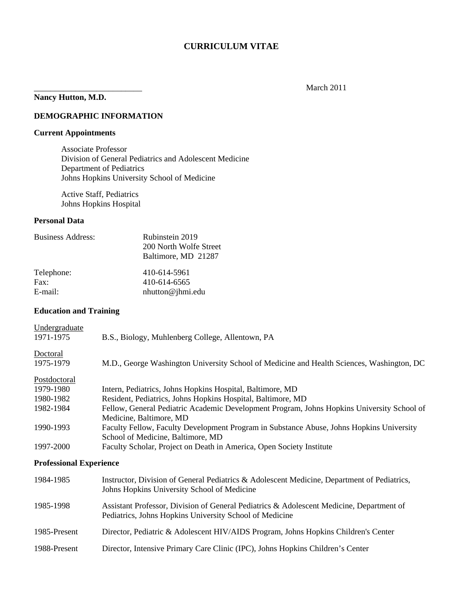### **CURRICULUM VITAE**

# **Nancy Hutton, M.D.**

### March 2011

### **DEMOGRAPHIC INFORMATION**

### **Current Appointments**

Associate Professor Division of General Pediatrics and Adolescent Medicine Department of Pediatrics Johns Hopkins University School of Medicine

Active Staff, Pediatrics Johns Hopkins Hospital

### **Personal Data**

| <b>Business Address:</b> | Rubinstein 2019<br>200 North Wolfe Street<br>Baltimore, MD 21287 |
|--------------------------|------------------------------------------------------------------|
| Telephone:               | 410-614-5961                                                     |
| Fax:                     | 410-614-6565                                                     |
| E-mail:                  | nhutton@jhmi.edu                                                 |

### **Education and Training**

| Undergraduate                  |                                                                                                                                                     |
|--------------------------------|-----------------------------------------------------------------------------------------------------------------------------------------------------|
| 1971-1975                      | B.S., Biology, Muhlenberg College, Allentown, PA                                                                                                    |
| Doctoral                       |                                                                                                                                                     |
| 1975-1979                      | M.D., George Washington University School of Medicine and Health Sciences, Washington, DC                                                           |
| <b>Postdoctoral</b>            |                                                                                                                                                     |
| 1979-1980                      | Intern, Pediatrics, Johns Hopkins Hospital, Baltimore, MD                                                                                           |
| 1980-1982                      | Resident, Pediatrics, Johns Hopkins Hospital, Baltimore, MD                                                                                         |
| 1982-1984                      | Fellow, General Pediatric Academic Development Program, Johns Hopkins University School of<br>Medicine, Baltimore, MD                               |
| 1990-1993                      | Faculty Fellow, Faculty Development Program in Substance Abuse, Johns Hopkins University<br>School of Medicine, Baltimore, MD                       |
| 1997-2000                      | Faculty Scholar, Project on Death in America, Open Society Institute                                                                                |
| <b>Professional Experience</b> |                                                                                                                                                     |
| 1984-1985                      | Instructor, Division of General Pediatrics & Adolescent Medicine, Department of Pediatrics,<br>Johns Hopkins University School of Medicine          |
| 1985-1998                      | Assistant Professor, Division of General Pediatrics & Adolescent Medicine, Department of<br>Pediatrics, Johns Hopkins University School of Medicine |
| 1985-Present                   | Director, Pediatric & Adolescent HIV/AIDS Program, Johns Hopkins Children's Center                                                                  |
| 1988-Present                   | Director, Intensive Primary Care Clinic (IPC), Johns Hopkins Children's Center                                                                      |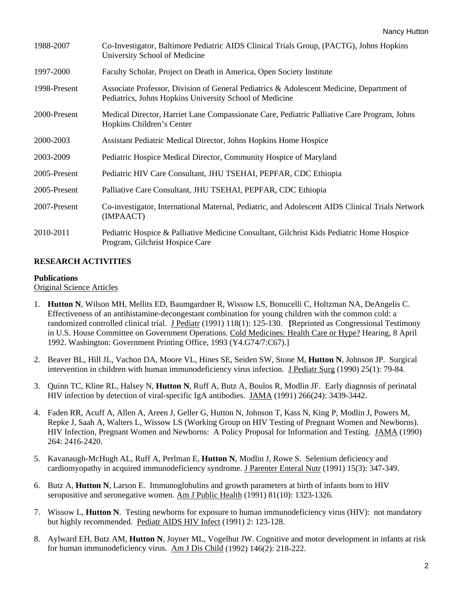| 1988-2007    | Co-Investigator, Baltimore Pediatric AIDS Clinical Trials Group, (PACTG), Johns Hopkins<br>University School of Medicine                            |
|--------------|-----------------------------------------------------------------------------------------------------------------------------------------------------|
| 1997-2000    | Faculty Scholar, Project on Death in America, Open Society Institute                                                                                |
| 1998-Present | Associate Professor, Division of General Pediatrics & Adolescent Medicine, Department of<br>Pediatrics, Johns Hopkins University School of Medicine |
| 2000-Present | Medical Director, Harriet Lane Compassionate Care, Pediatric Palliative Care Program, Johns<br>Hopkins Children's Center                            |
| 2000-2003    | Assistant Pediatric Medical Director, Johns Hopkins Home Hospice                                                                                    |
| 2003-2009    | Pediatric Hospice Medical Director, Community Hospice of Maryland                                                                                   |
| 2005-Present | Pediatric HIV Care Consultant, JHU TSEHAI, PEPFAR, CDC Ethiopia                                                                                     |
| 2005-Present | Palliative Care Consultant, JHU TSEHAI, PEPFAR, CDC Ethiopia                                                                                        |
| 2007-Present | Co-investigator, International Maternal, Pediatric, and Adolescent AIDS Clinical Trials Network<br>(IMPAACT)                                        |
| 2010-2011    | Pediatric Hospice & Palliative Medicine Consultant, Gilchrist Kids Pediatric Home Hospice<br>Program, Gilchrist Hospice Care                        |

### **RESEARCH ACTIVITIES**

#### **Publications**

Original Science Articles

- 1. **Hutton N**, Wilson MH, Mellits ED, Baumgardner R, Wissow LS, Bonucelli C, Holtzman NA, DeAngelis C. Effectiveness of an antihistamine-decongestant combination for young children with the common cold: a randomized controlled clinical trial. J Pediatr (1991) 118(1): 125-130. **[**Reprinted as Congressional Testimony in U.S. House Committee on Government Operations. Cold Medicines: Health Care or Hype? Hearing, 8 April 1992. Washington: Government Printing Office, 1993 (Y4.G74/7:C67).]
- 2. Beaver BL, Hill JL, Vachon DA, Moore VL, Hines SE, Seiden SW, Stone M, **Hutton N**, Johnson JP. Surgical intervention in children with human immunodeficiency virus infection. J Pediatr Surg (1990) 25(1): 79-84.
- 3. Quinn TC, Kline RL, Halsey N, **Hutton N**, Ruff A, Butz A, Boulos R, Modlin JF. Early diagnosis of perinatal HIV infection by detection of viral-specific IgA antibodies. JAMA (1991) 266(24): 3439-3442.
- 4. Faden RR, Acuff A, Allen A, Areen J, Geller G, Hutton N, Johnson T, Kass N, King P, Modlin J, Powers M, Repke J, Saah A, Walters L, Wissow LS (Working Group on HIV Testing of Pregnant Women and Newborns). HIV Infection, Pregnant Women and Newborns: A Policy Proposal for Information and Testing. JAMA (1990) 264: 2416-2420.
- 5. Kavanaugh-McHugh AL, Ruff A, Perlman E, **Hutton N**, Modlin J, Rowe S. Selenium deficiency and cardiomyopathy in acquired immunodeficiency syndrome. J Parenter Enteral Nutr (1991) 15(3): 347-349.
- 6. Butz A, **Hutton N**, Larson E. Immunoglobulins and growth parameters at birth of infants born to HIV seropositive and seronegative women. Am J Public Health (1991) 81(10): 1323-1326.
- 7. Wissow L, **Hutton N**. Testing newborns for exposure to human immunodeficiency virus (HIV): not mandatory but highly recommended. Pediatr AIDS HIV Infect (1991) 2: 123-128.
- 8. Aylward EH, Butz AM, **Hutton N**, Joyner ML, Vogelhut JW. Cognitive and motor development in infants at risk for human immunodeficiency virus. Am J Dis Child (1992) 146(2): 218-222.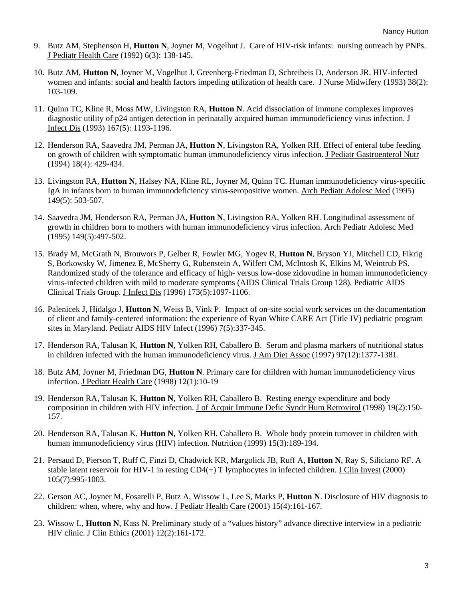- 9. Butz AM, Stephenson H, **Hutton N**, Joyner M, Vogelhut J. Care of HIV-risk infants: nursing outreach by PNPs. J Pediatr Health Care (1992) 6(3): 138-145.
- 10. Butz AM, **Hutton N**, Joyner M, Vogelhut J, Greenberg-Friedman D, Schreibeis D, Anderson JR. HIV-infected women and infants: social and health factors impeding utilization of health care. J Nurse Midwifery (1993) 38(2): 103-109.
- 11. Quinn TC, Kline R, Moss MW, Livingston RA, **Hutton N**. Acid dissociation of immune complexes improves diagnostic utility of p24 antigen detection in perinatally acquired human immunodeficiency virus infection. J Infect Dis (1993) 167(5): 1193-1196.
- 12. Henderson RA, Saavedra JM, Perman JA, **Hutton N**, Livingston RA, Yolken RH. Effect of enteral tube feeding on growth of children with symptomatic human immunodeficiency virus infection. J Pediatr Gastroenterol Nutr (1994) 18(4): 429-434.
- 13. Livingston RA, **Hutton N**, Halsey NA, Kline RL, Joyner M, Quinn TC. Human immunodeficiency virus-specific IgA in infants born to human immunodeficiency virus-seropositive women. Arch Pediatr Adolesc Med (1995) 149(5): 503-507.
- 14. Saavedra JM, Henderson RA, Perman JA, **Hutton N**, Livingston RA, Yolken RH. Longitudinal assessment of growth in children born to mothers with human immunodeficiency virus infection. Arch Pediatr Adolesc Med (1995) 149(5):497-502.
- 15. Brady M, McGrath N, Brouwors P, Gelber R, Fowler MG, Yogev R, **Hutton N**, Bryson YJ, Mitchell CD, Fikrig S, Borkowsky W, Jimenez E, McSherry G, Rubenstein A, Wilfert CM, McIntosh K, Elkins M, Weintrub PS. Randomized study of the tolerance and efficacy of high- versus low-dose zidovudine in human immunodeficiency virus-infected children with mild to moderate symptoms (AIDS Clinical Trials Group 128). Pediatric AIDS Clinical Trials Group. J Infect Dis (1996) 173(5):1097-1106.
- 16. Palenicek J, Hidalgo J, **Hutton N**, Weiss B, Vink P. Impact of on-site social work services on the documentation of client and family-centered information: the experience of Ryan White CARE Act (Title IV) pediatric program sites in Maryland. Pediatr AIDS HIV Infect (1996) 7(5):337-345.
- 17. Henderson RA, Talusan K, **Hutton N**, Yolken RH, Caballero B. Serum and plasma markers of nutritional status in children infected with the human immunodeficiency virus. J Am Diet Assoc (1997) 97(12):1377-1381.
- 18. Butz AM, Joyner M, Friedman DG, **Hutton N**. Primary care for children with human immunodeficiency virus infection. J Pediatr Health Care (1998) 12(1):10-19
- 19. Henderson RA, Talusan K, **Hutton N**, Yolken RH, Caballero B. Resting energy expenditure and body composition in children with HIV infection. J of Acquir Immune Defic Syndr Hum Retrovirol (1998) 19(2):150-157.
- 20. Henderson RA, Talusan K, **Hutton N**, Yolken RH, Caballero B. Whole body protein turnover in children with human immunodeficiency virus (HIV) infection. Nutrition (1999) 15(3):189-194.
- 21. Persaud D, Pierson T, Ruff C, Finzi D, Chadwick KR, Margolick JB, Ruff A, **Hutton N**, Ray S, Siliciano RF. A stable latent reservoir for HIV-1 in resting CD4(+) T lymphocytes in infected children. J Clin Invest (2000) 105(7):995-1003.
- 22. Gerson AC, Joyner M, Fosarelli P, Butz A, Wissow L, Lee S, Marks P, **Hutton N**. Disclosure of HIV diagnosis to children: when, where, why and how. J Pediatr Health Care (2001) 15(4):161-167.
- 23. Wissow L, **Hutton N**, Kass N. Preliminary study of a "values history" advance directive interview in a pediatric HIV clinic. J Clin Ethics (2001) 12(2):161-172.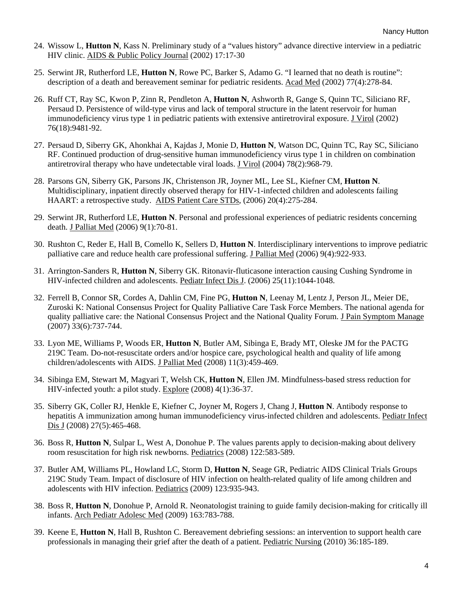- 24. Wissow L, **Hutton N**, Kass N. Preliminary study of a "values history" advance directive interview in a pediatric HIV clinic. AIDS & Public Policy Journal (2002) 17:17-30
- 25. Serwint JR, Rutherford LE, **Hutton N**, Rowe PC, Barker S, Adamo G. "I learned that no death is routine": description of a death and bereavement seminar for pediatric residents. Acad Med (2002) 77(4):278-84.
- 26. Ruff CT, Ray SC, Kwon P, Zinn R, Pendleton A, **Hutton N**, Ashworth R, Gange S, Quinn TC, Siliciano RF, Persaud D. Persistence of wild-type virus and lack of temporal structure in the latent reservoir for human immunodeficiency virus type 1 in pediatric patients with extensive antiretroviral exposure. J Virol (2002) 76(18):9481-92.
- 27. Persaud D, Siberry GK, Ahonkhai A, Kajdas J, Monie D, **Hutton N**, Watson DC, Quinn TC, Ray SC, Siliciano RF. Continued production of drug-sensitive human immunodeficiency virus type 1 in children on combination antiretroviral therapy who have undetectable viral loads. J Virol (2004) 78(2):968-79.
- 28. Parsons GN, Siberry GK, Parsons JK, Christenson JR, Joyner ML, Lee SL, Kiefner CM, **Hutton N**. Multidisciplinary, inpatient directly observed therapy for HIV-1-infected children and adolescents failing HAART: a retrospective study. AIDS Patient Care STDs, (2006) 20(4):275-284.
- 29. Serwint JR, Rutherford LE, **Hutton N**. Personal and professional experiences of pediatric residents concerning death. J Palliat Med (2006) 9(1):70-81.
- 30. Rushton C, Reder E, Hall B, Comello K, Sellers D, **Hutton N**. Interdisciplinary interventions to improve pediatric palliative care and reduce health care professional suffering. J Palliat Med (2006) 9(4):922-933.
- 31. Arrington-Sanders R, **Hutton N**, Siberry GK. Ritonavir-fluticasone interaction causing Cushing Syndrome in HIV-infected children and adolescents. Pediatr Infect Dis J. (2006) 25(11):1044-1048.
- 32. Ferrell B, Connor SR, Cordes A, Dahlin CM, Fine PG, **Hutton N**, Leenay M, Lentz J, Person JL, Meier DE, Zuroski K: National Consensus Project for Quality Palliative Care Task Force Members. The national agenda for quality palliative care: the National Consensus Project and the National Quality Forum. J Pain Symptom Manage (2007) 33(6):737-744.
- 33. Lyon ME, Williams P, Woods ER, **Hutton N**, Butler AM, Sibinga E, Brady MT, Oleske JM for the PACTG 219C Team. Do-not-resuscitate orders and/or hospice care, psychological health and quality of life among children/adolescents with AIDS. J Palliat Med (2008) 11(3):459-469.
- 34. Sibinga EM, Stewart M, Magyari T, Welsh CK, **Hutton N**, Ellen JM. Mindfulness-based stress reduction for HIV-infected youth: a pilot study. Explore (2008) 4(1):36-37.
- 35. Siberry GK, Coller RJ, Henkle E, Kiefner C, Joyner M, Rogers J, Chang J, **Hutton N**. Antibody response to hepatitis A immunization among human immunodeficiency virus-infected children and adolescents. Pediatr Infect Dis J (2008) 27(5):465-468.
- 36. Boss R, **Hutton N**, Sulpar L, West A, Donohue P. The values parents apply to decision-making about delivery room resuscitation for high risk newborns. Pediatrics (2008) 122:583-589.
- 37. Butler AM, Williams PL, Howland LC, Storm D, **Hutton N**, Seage GR, Pediatric AIDS Clinical Trials Groups 219C Study Team. Impact of disclosure of HIV infection on health-related quality of life among children and adolescents with HIV infection. Pediatrics (2009) 123:935-943.
- 38. Boss R, **Hutton N**, Donohue P, Arnold R. Neonatologist training to guide family decision-making for critically ill infants. Arch Pediatr Adolesc Med (2009) 163:783-788.
- 39. Keene E, **Hutton N**, Hall B, Rushton C. Bereavement debriefing sessions: an intervention to support health care professionals in managing their grief after the death of a patient. Pediatric Nursing (2010) 36:185-189.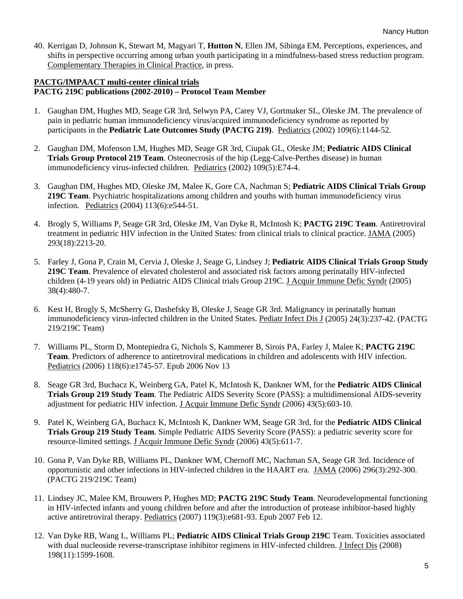40. Kerrigan D, Johnson K, Stewart M, Magyari T, **Hutton N**, Ellen JM, Sibinga EM. Perceptions, experiences, and shifts in perspective occurring among urban youth participating in a mindfulness-based stress reduction program. Complementary Therapies in Clinical Practice, in press.

### **PACTG/IMPAACT multi-center clinical trials PACTG 219C publications (2002-2010) – Protocol Team Member**

- 1. Gaughan DM, Hughes MD, Seage GR 3rd, Selwyn PA, Carey VJ, Gortmaker SL, Oleske JM. The prevalence of pain in pediatric human immunodeficiency virus/acquired immunodeficiency syndrome as reported by participants in the **Pediatric Late Outcomes Study (PACTG 219)**. Pediatrics (2002) 109(6):1144-52.
- 2. Gaughan DM, Mofenson LM, Hughes MD, Seage GR 3rd, Ciupak GL, Oleske JM; **Pediatric AIDS Clinical Trials Group Protocol 219 Team**. Osteonecrosis of the hip (Legg-Calve-Perthes disease) in human immunodeficiency virus-infected children. Pediatrics (2002) 109(5):E74-4.
- 3. Gaughan DM, Hughes MD, Oleske JM, Malee K, Gore CA, Nachman S; **Pediatric AIDS Clinical Trials Group 219C Team**. Psychiatric hospitalizations among children and youths with human immunodeficiency virus infection. Pediatrics (2004) 113(6):e544-51.
- 4. Brogly S, Williams P, Seage GR 3rd, Oleske JM, Van Dyke R, McIntosh K; **PACTG 219C Team**. Antiretroviral treatment in pediatric HIV infection in the United States: from clinical trials to clinical practice. JAMA (2005) 293(18):2213-20.
- 5. Farley J, Gona P, Crain M, Cervia J, Oleske J, Seage G, Lindsey J; **Pediatric AIDS Clinical Trials Group Study 219C Team**. Prevalence of elevated cholesterol and associated risk factors among perinatally HIV-infected children (4-19 years old) in Pediatric AIDS Clinical trials Group 219C. J Acquir Immune Defic Syndr (2005) 38(4):480-7.
- 6. Kest H, Brogly S, McSherry G, Dashefsky B, Oleske J, Seage GR 3rd. Malignancy in perinatally human immunodeficiency virus-infected children in the United States. Pediatr Infect Dis J (2005) 24(3):237-42. (PACTG 219/219C Team)
- 7. Williams PL, Storm D, Montepiedra G, Nichols S, Kammerer B, Sirois PA, Farley J, Malee K; **PACTG 219C Team**. Predictors of adherence to antiretroviral medications in children and adolescents with HIV infection. Pediatrics (2006) 118(6):e1745-57. Epub 2006 Nov 13
- 8. Seage GR 3rd, Buchacz K, Weinberg GA, Patel K, McIntosh K, Dankner WM, for the **Pediatric AIDS Clinical Trials Group 219 Study Team**. The Pediatric AIDS Severity Score (PASS): a multidimensional AIDS-severity adjustment for pediatric HIV infection. J Acquir Immune Defic Syndr (2006) 43(5):603-10.
- 9. Patel K, Weinberg GA, Buchacz K, McIntosh K, Dankner WM, Seage GR 3rd, for the **Pediatric AIDS Clinical Trials Group 219 Study Team**. Simple Pediatric AIDS Severity Score (PASS): a pediatric severity score for resource-limited settings. J Acquir Immune Defic Syndr (2006) 43(5):611-7.
- 10. Gona P, Van Dyke RB, Williams PL, Dankner WM, Chernoff MC, Nachman SA, Seage GR 3rd. Incidence of opportunistic and other infections in HIV-infected children in the HAART era. JAMA (2006) 296(3):292-300. (PACTG 219/219C Team)
- 11. Lindsey JC, Malee KM, Brouwers P, Hughes MD; **PACTG 219C Study Team**. Neurodevelopmental functioning in HIV-infected infants and young children before and after the introduction of protease inhibitor-based highly active antiretroviral therapy. Pediatrics (2007) 119(3):e681-93. Epub 2007 Feb 12.
- 12. Van Dyke RB, Wang L, Williams PL; **Pediatric AIDS Clinical Trials Group 219C** Team. Toxicities associated with dual nucleoside reverse-transcriptase inhibitor regimens in HIV-infected children. J Infect Dis (2008) 198(11):1599-1608.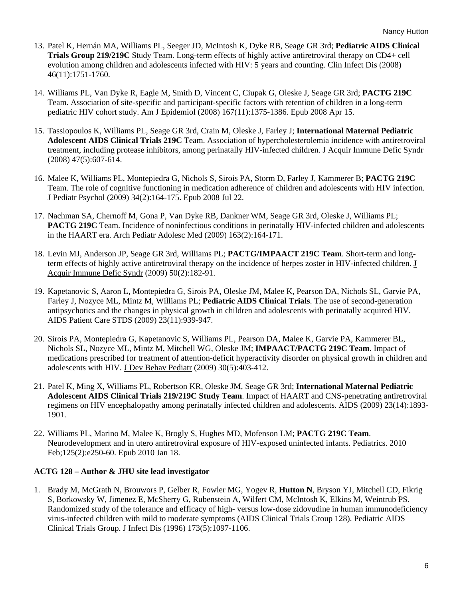- 13. Patel K, Hernán MA, Williams PL, Seeger JD, McIntosh K, Dyke RB, Seage GR 3rd; **Pediatric AIDS Clinical Trials Group 219/219C** Study Team. Long-term effects of highly active antiretroviral therapy on CD4+ cell evolution among children and adolescents infected with HIV: 5 years and counting. Clin Infect Dis (2008) 46(11):1751-1760.
- 14. Williams PL, Van Dyke R, Eagle M, Smith D, Vincent C, Ciupak G, Oleske J, Seage GR 3rd; **PACTG 219C** Team. Association of site-specific and participant-specific factors with retention of children in a long-term pediatric HIV cohort study. Am J Epidemiol (2008) 167(11):1375-1386. Epub 2008 Apr 15.
- 15. Tassiopoulos K, Williams PL, Seage GR 3rd, Crain M, Oleske J, Farley J; **International Maternal Pediatric Adolescent AIDS Clinical Trials 219C** Team. Association of hypercholesterolemia incidence with antiretroviral treatment, including protease inhibitors, among perinatally HIV-infected children. J Acquir Immune Defic Syndr (2008) 47(5):607-614.
- 16. Malee K, Williams PL, Montepiedra G, Nichols S, Sirois PA, Storm D, Farley J, Kammerer B; **PACTG 219C** Team. The role of cognitive functioning in medication adherence of children and adolescents with HIV infection. J Pediatr Psychol (2009) 34(2):164-175. Epub 2008 Jul 22.
- 17. Nachman SA, Chernoff M, Gona P, Van Dyke RB, Dankner WM, Seage GR 3rd, Oleske J, Williams PL; **PACTG 219C** Team. Incidence of noninfectious conditions in perinatally HIV-infected children and adolescents in the HAART era. Arch Pediatr Adolesc Med (2009) 163(2):164-171.
- 18. Levin MJ, Anderson JP, Seage GR 3rd, Williams PL; **PACTG/IMPAACT 219C Team**. Short-term and longterm effects of highly active antiretroviral therapy on the incidence of herpes zoster in HIV-infected children. J Acquir Immune Defic Syndr (2009) 50(2):182-91.
- 19. Kapetanovic S, Aaron L, Montepiedra G, Sirois PA, Oleske JM, Malee K, Pearson DA, Nichols SL, Garvie PA, Farley J, Nozyce ML, Mintz M, Williams PL; **Pediatric AIDS Clinical Trials**. The use of second-generation antipsychotics and the changes in physical growth in children and adolescents with perinatally acquired HIV. AIDS Patient Care STDS (2009) 23(11):939-947.
- 20. Sirois PA, Montepiedra G, Kapetanovic S, Williams PL, Pearson DA, Malee K, Garvie PA, Kammerer BL, Nichols SL, Nozyce ML, Mintz M, Mitchell WG, Oleske JM; **IMPAACT/PACTG 219C Team**. Impact of medications prescribed for treatment of attention-deficit hyperactivity disorder on physical growth in children and adolescents with HIV. J Dev Behav Pediatr (2009) 30(5):403-412.
- 21. Patel K, Ming X, Williams PL, Robertson KR, Oleske JM, Seage GR 3rd; **International Maternal Pediatric Adolescent AIDS Clinical Trials 219/219C Study Team**. Impact of HAART and CNS-penetrating antiretroviral regimens on HIV encephalopathy among perinatally infected children and adolescents. AIDS (2009) 23(14):1893- 1901.
- 22. Williams PL, Marino M, Malee K, Brogly S, Hughes MD, Mofenson LM; **PACTG 219C Team**. Neurodevelopment and in utero antiretroviral exposure of HIV-exposed uninfected infants. Pediatrics. 2010 Feb;125(2):e250-60. Epub 2010 Jan 18.

#### **ACTG 128 – Author & JHU site lead investigator**

1. Brady M, McGrath N, Brouwors P, Gelber R, Fowler MG, Yogev R, **Hutton N**, Bryson YJ, Mitchell CD, Fikrig S, Borkowsky W, Jimenez E, McSherry G, Rubenstein A, Wilfert CM, McIntosh K, Elkins M, Weintrub PS. Randomized study of the tolerance and efficacy of high- versus low-dose zidovudine in human immunodeficiency virus-infected children with mild to moderate symptoms (AIDS Clinical Trials Group 128). Pediatric AIDS Clinical Trials Group. J Infect Dis (1996) 173(5):1097-1106.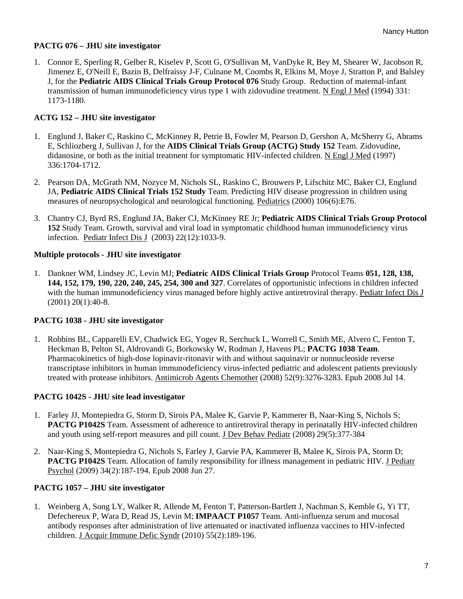### **PACTG 076 – JHU site investigator**

1. Connor E, Sperling R, Gelber R, Kiselev P, Scott G, O'Sullivan M, VanDyke R, Bey M, Shearer W, Jacobson R, Jimenez E, O'Neill E, Bazin B, Delfraissy J-F, Culnane M, Coombs R, Elkins M, Moye J, Stratton P, and Balsley J, for the **Pediatric AIDS Clinical Trials Group Protocol 076** Study Group. Reduction of maternal-infant transmission of human immunodeficiency virus type 1 with zidovudine treatment. N Engl J Med (1994) 331: 1173-1180.

### **ACTG 152 – JHU site investigator**

- 1. Englund J, Baker C, Raskino C, McKinney R, Petrie B, Fowler M, Pearson D, Gershon A, McSherry G, Abrams E, Schliozberg J, Sullivan J, for the **AIDS Clinical Trials Group (ACTG) Study 152** Team. Zidovudine, didanosine, or both as the initial treatment for symptomatic HIV-infected children. N Engl J Med (1997) 336:1704-1712.
- 2. Pearson DA, McGrath NM, Nozyce M, Nichols SL, Raskino C, Brouwers P, Lifschitz MC, Baker CJ, Englund JA, **Pediatric AIDS Clinical Trials 152 Study** Team. Predicting HIV disease progression in children using measures of neuropsychological and neurological functioning. Pediatrics (2000) 106(6):E76.
- 3. Chantry CJ, Byrd RS, Englund JA, Baker CJ, McKinney RE Jr; **Pediatric AIDS Clinical Trials Group Protocol 152** Study Team. Growth, survival and viral load in symptomatic childhood human immunodeficiency virus infection. Pediatr Infect Dis J (2003) 22(12):1033-9.

# **Multiple protocols - JHU site investigator**

1. Dankner WM, Lindsey JC, Levin MJ; **Pediatric AIDS Clinical Trials Group** Protocol Teams **051, 128, 138, 144, 152, 179, 190, 220, 240, 245, 254, 300 and 327**. Correlates of opportunistic infections in children infected with the human immunodeficiency virus managed before highly active antiretroviral therapy. Pediatr Infect Dis J (2001) 20(1):40-8.

# **PACTG 1038 - JHU site investigator**

1. Robbins BL, Capparelli EV, Chadwick EG, Yogev R, Serchuck L, Worrell C, Smith ME, Alvero C, Fenton T, Heckman B, Pelton SI, Aldrovandi G, Borkowsky W, Rodman J, Havens PL; **PACTG 1038 Team**. Pharmacokinetics of high-dose lopinavir-ritonavir with and without saquinavir or nonnucleoside reverse transcriptase inhibitors in human immunodeficiency virus-infected pediatric and adolescent patients previously treated with protease inhibitors. Antimicrob Agents Chemother (2008) 52(9):3276-3283. Epub 2008 Jul 14.

# **PACTG 1042S - JHU site lead investigator**

- 1. Farley JJ, Montepiedra G, Storm D, Sirois PA, Malee K, Garvie P, Kammerer B, Naar-King S, Nichols S; **PACTG P1042S** Team. Assessment of adherence to antiretroviral therapy in perinatally HIV-infected children and youth using self-report measures and pill count. J Dev Behav Pediatr (2008) 29(5):377-384
- 2. Naar-King S, Montepiedra G, Nichols S, Farley J, Garvie PA, Kammerer B, Malee K, Sirois PA, Storm D; **PACTG P1042S** Team. Allocation of family responsibility for illness management in pediatric HIV. J Pediatr Psychol (2009) 34(2):187-194. Epub 2008 Jun 27.

# **PACTG 1057 – JHU site investigator**

1. Weinberg A, Song LY, Walker R, Allende M, Fenton T, Patterson-Bartlett J, Nachman S, Kemble G, Yi TT, Defechereux P, Wara D, Read JS, Levin M; **IMPAACT P1057** Team. Anti-influenza serum and mucosal antibody responses after administration of live attenuated or inactivated influenza vaccines to HIV-infected children. J Acquir Immune Defic Syndr (2010) 55(2):189-196.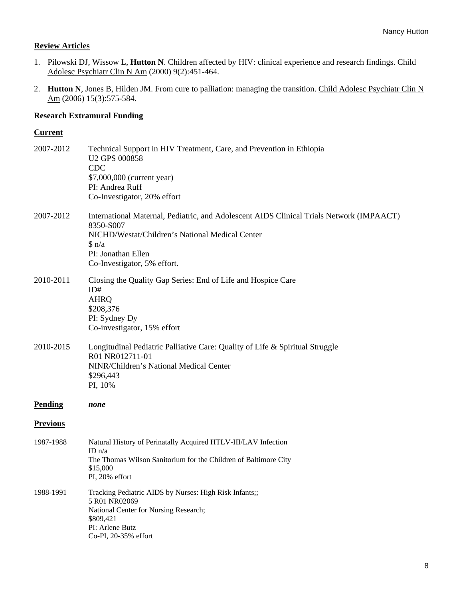### **Review Articles**

- 1. Pilowski DJ, Wissow L, **Hutton N**. Children affected by HIV: clinical experience and research findings. Child Adolesc Psychiatr Clin N Am (2000) 9(2):451-464.
- 2. **Hutton N**, Jones B, Hilden JM. From cure to palliation: managing the transition. Child Adolesc Psychiatr Clin N Am (2006) 15(3):575-584.

### **Research Extramural Funding**

#### **Current**

| 2007-2012       | Technical Support in HIV Treatment, Care, and Prevention in Ethiopia<br>U2 GPS 000858<br><b>CDC</b><br>\$7,000,000 (current year)<br>PI: Andrea Ruff<br>Co-Investigator, 20% effort                                       |
|-----------------|---------------------------------------------------------------------------------------------------------------------------------------------------------------------------------------------------------------------------|
| 2007-2012       | International Maternal, Pediatric, and Adolescent AIDS Clinical Trials Network (IMPAACT)<br>8350-S007<br>NICHD/Westat/Children's National Medical Center<br>$\sin/a$<br>PI: Jonathan Ellen<br>Co-Investigator, 5% effort. |
| 2010-2011       | Closing the Quality Gap Series: End of Life and Hospice Care<br>ID#<br><b>AHRQ</b><br>\$208,376<br>PI: Sydney Dy<br>Co-investigator, 15% effort                                                                           |
| 2010-2015       | Longitudinal Pediatric Palliative Care: Quality of Life & Spiritual Struggle<br>R01 NR012711-01<br>NINR/Children's National Medical Center<br>\$296,443<br>PI, 10%                                                        |
| <b>Pending</b>  | none                                                                                                                                                                                                                      |
| <b>Previous</b> |                                                                                                                                                                                                                           |
| 1987-1988       | Natural History of Perinatally Acquired HTLV-III/LAV Infection<br>ID $n/a$<br>The Thomas Wilson Sanitorium for the Children of Baltimore City<br>\$15,000<br>PI, 20% effort                                               |
| 1988-1991       | Tracking Pediatric AIDS by Nurses: High Risk Infants;;<br>5 R01 NR02069<br>National Center for Nursing Research;<br>\$809,421<br>PI: Arlene Butz<br>Co-PI, 20-35% effort                                                  |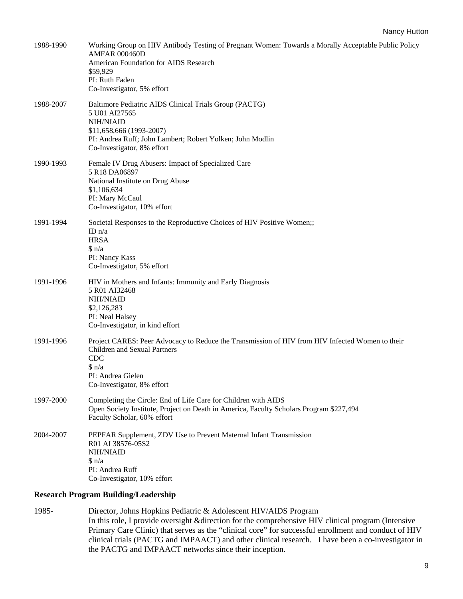| 1988-1990 | Working Group on HIV Antibody Testing of Pregnant Women: Towards a Morally Acceptable Public Policy<br><b>AMFAR 000460D</b> |
|-----------|-----------------------------------------------------------------------------------------------------------------------------|
|           | American Foundation for AIDS Research<br>\$59,929                                                                           |
|           | PI: Ruth Faden                                                                                                              |
|           | Co-Investigator, 5% effort                                                                                                  |
| 1988-2007 | Baltimore Pediatric AIDS Clinical Trials Group (PACTG)<br>5 U01 AI27565                                                     |
|           | <b>NIH/NIAID</b>                                                                                                            |
|           | \$11,658,666 (1993-2007)<br>PI: Andrea Ruff; John Lambert; Robert Yolken; John Modlin                                       |
|           | Co-Investigator, 8% effort                                                                                                  |
| 1990-1993 | Female IV Drug Abusers: Impact of Specialized Care<br>5 R18 DA06897                                                         |
|           | National Institute on Drug Abuse                                                                                            |
|           | \$1,106,634                                                                                                                 |
|           | PI: Mary McCaul<br>Co-Investigator, 10% effort                                                                              |
| 1991-1994 | Societal Responses to the Reproductive Choices of HIV Positive Women;;                                                      |
|           | ID $n/a$<br><b>HRSA</b>                                                                                                     |
|           | $\sin/a$                                                                                                                    |
|           | PI: Nancy Kass                                                                                                              |
|           | Co-Investigator, 5% effort                                                                                                  |
| 1991-1996 | HIV in Mothers and Infants: Immunity and Early Diagnosis<br>5 R01 AI32468                                                   |
|           | <b>NIH/NIAID</b>                                                                                                            |
|           | \$2,126,283<br>PI: Neal Halsey                                                                                              |
|           | Co-Investigator, in kind effort                                                                                             |
| 1991-1996 | Project CARES: Peer Advocacy to Reduce the Transmission of HIV from HIV Infected Women to their                             |
|           | Children and Sexual Partners                                                                                                |
|           | CDC<br>$\sin/a$                                                                                                             |
|           | PI: Andrea Gielen                                                                                                           |
|           | Co-Investigator, 8% effort                                                                                                  |
| 1997-2000 | Completing the Circle: End of Life Care for Children with AIDS                                                              |
|           | Open Society Institute, Project on Death in America, Faculty Scholars Program \$227,494<br>Faculty Scholar, 60% effort      |
| 2004-2007 | PEPFAR Supplement, ZDV Use to Prevent Maternal Infant Transmission                                                          |
|           | R01 AI 38576-05S2                                                                                                           |
|           | <b>NIH/NIAID</b><br>$\sin/a$                                                                                                |
|           | PI: Andrea Ruff                                                                                                             |
|           | Co-Investigator, 10% effort                                                                                                 |
|           | <b>Research Program Building/Leadership</b>                                                                                 |

1985- Director, Johns Hopkins Pediatric & Adolescent HIV/AIDS Program In this role, I provide oversight &direction for the comprehensive HIV clinical program (Intensive Primary Care Clinic) that serves as the "clinical core" for successful enrollment and conduct of HIV clinical trials (PACTG and IMPAACT) and other clinical research. I have been a co-investigator in the PACTG and IMPAACT networks since their inception.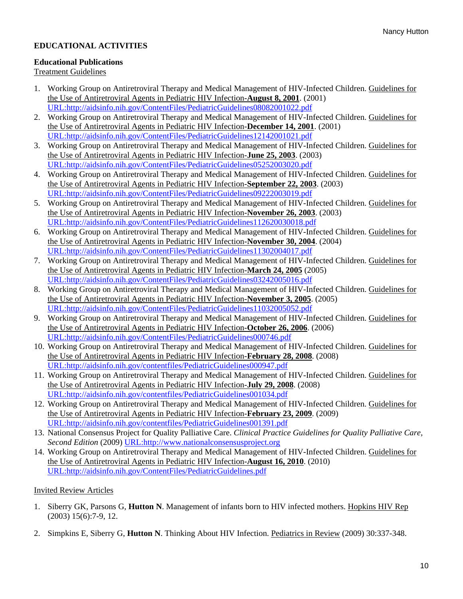### **EDUCATIONAL ACTIVITIES**

### **Educational Publications**

#### Treatment Guidelines

- 1. Working Group on Antiretroviral Therapy and Medical Management of HIV-Infected Children. Guidelines for the Use of Antiretroviral Agents in Pediatric HIV Infection-**August 8, 2001**. (2001) [URL:http://aidsinfo.nih.gov/ContentFiles/PediatricGuidelines08082001022.pdf](http://aidsinfo.nih.gov/ContentFiles/PediatricGuidelines08082001022.pdf)
- 2. Working Group on Antiretroviral Therapy and Medical Management of HIV-Infected Children. Guidelines for the Use of Antiretroviral Agents in Pediatric HIV Infection-**December 14, 2001**. (2001) [URL:http://aidsinfo.nih.gov/ContentFiles/PediatricGuidelines12142001021.pdf](http://aidsinfo.nih.gov/ContentFiles/PediatricGuidelines12142001021.pdf)
- 3. Working Group on Antiretroviral Therapy and Medical Management of HIV-Infected Children. Guidelines for the Use of Antiretroviral Agents in Pediatric HIV Infection-**June 25, 2003**. (2003) [URL:http://aidsinfo.nih.gov/ContentFiles/PediatricGuidelines05252003020.pdf](http://aidsinfo.nih.gov/ContentFiles/PediatricGuidelines05252003020.pdf)
- 4. Working Group on Antiretroviral Therapy and Medical Management of HIV-Infected Children. Guidelines for the Use of Antiretroviral Agents in Pediatric HIV Infection-**September 22, 2003**. (2003) [URL:http://aidsinfo.nih.gov/ContentFiles/PediatricGuidelines09222003019.pdf](http://aidsinfo.nih.gov/ContentFiles/PediatricGuidelines09222003019.pdf)
- 5. Working Group on Antiretroviral Therapy and Medical Management of HIV-Infected Children. Guidelines for the Use of Antiretroviral Agents in Pediatric HIV Infection-**November 26, 2003**. (2003) [URL:http://aidsinfo.nih.gov/ContentFiles/PediatricGuidelines112620030018.pdf](http://aidsinfo.nih.gov/ContentFiles/PediatricGuidelines112620030018.pdf)
- 6. Working Group on Antiretroviral Therapy and Medical Management of HIV-Infected Children. Guidelines for the Use of Antiretroviral Agents in Pediatric HIV Infection-**November 30, 2004**. (2004) [URL:http://aidsinfo.nih.gov/ContentFiles/PediatricGuidelines11302004017.pdf](http://aidsinfo.nih.gov/ContentFiles/PediatricGuidelines11302004017.pdf)
- 7. Working Group on Antiretroviral Therapy and Medical Management of HIV-Infected Children. Guidelines for the Use of Antiretroviral Agents in Pediatric HIV Infection-**March 24, 2005** (2005) [URL:http://aidsinfo.nih.gov/ContentFiles/PediatricGuidelines03242005016.pdf](http://aidsinfo.nih.gov/ContentFiles/PediatricGuidelines03242005016.pdf)
- 8. Working Group on Antiretroviral Therapy and Medical Management of HIV-Infected Children. Guidelines for the Use of Antiretroviral Agents in Pediatric HIV Infection-**November 3, 2005**. (2005) [URL:http://aidsinfo.nih.gov/ContentFiles/PediatricGuidelines11032005052.pdf](http://aidsinfo.nih.gov/ContentFiles/PediatricGuidelines11032005052.pdf)
- 9. Working Group on Antiretroviral Therapy and Medical Management of HIV-Infected Children. Guidelines for the Use of Antiretroviral Agents in Pediatric HIV Infection-**October 26, 2006**. (2006) [URL:http://aidsinfo.nih.gov/ContentFiles/PediatricGuidelines000746.pdf](http://aidsinfo.nih.gov/ContentFiles/PediatricGuidelines000746.pdf)
- 10. Working Group on Antiretroviral Therapy and Medical Management of HIV-Infected Children. Guidelines for the Use of Antiretroviral Agents in Pediatric HIV Infection-**February 28, 2008**. (2008) [URL:http://aidsinfo.nih.gov/contentfiles/PediatricGuidelines000947.pdf](http://aidsinfo.nih.gov/contentfiles/PediatricGuidelines000947.pdf)
- 11. Working Group on Antiretroviral Therapy and Medical Management of HIV-Infected Children. Guidelines for the Use of Antiretroviral Agents in Pediatric HIV Infection-**July 29, 2008**. (2008) [URL:http://aidsinfo.nih.gov/contentfiles/PediatricGuidelines001034.pdf](http://aidsinfo.nih.gov/contentfiles/PediatricGuidelines001034.pdf)
- 12. Working Group on Antiretroviral Therapy and Medical Management of HIV-Infected Children. Guidelines for the Use of Antiretroviral Agents in Pediatric HIV Infection-**February 23, 2009**. (2009) [URL:http://aidsinfo.nih.gov/contentfiles/PediatricGuidelines001391.pdf](http://aidsinfo.nih.gov/contentfiles/PediatricGuidelines001391.pdf)
- 13. National Consensus Project for Quality Palliative Care. *Clinical Practice Guidelines for Quality Palliative Care, Second Edition* (2009) [URL:http://www.nationalconsensusproject.org](http://www.nationalconsensusproject.org/)
- 14. Working Group on Antiretroviral Therapy and Medical Management of HIV-Infected Children. Guidelines for the Use of Antiretroviral Agents in Pediatric HIV Infection-**August 16, 2010**. (2010) [URL:http://aidsinfo.nih.gov/ContentFiles/PediatricGuidelines.pdf](http://aidsinfo.nih.gov/ContentFiles/PediatricGuidelines.pdf)

### Invited Review Articles

- 1. Siberry GK, Parsons G, **Hutton N**. Management of infants born to HIV infected mothers. Hopkins HIV Rep (2003) 15(6):7-9, 12.
- 2. Simpkins E, Siberry G, **Hutton N**. Thinking About HIV Infection. Pediatrics in Review (2009) 30:337-348.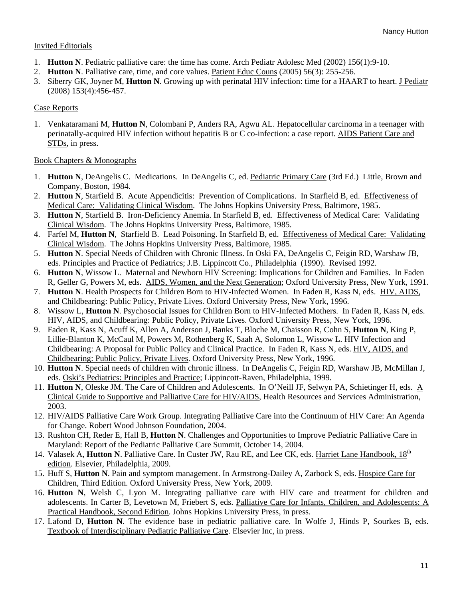### Invited Editorials

- 1. **Hutton N**. Pediatric palliative care: the time has come. Arch Pediatr Adolesc Med (2002) 156(1):9-10.
- 2. **Hutton N**. Palliative care, time, and core values. Patient Educ Couns (2005) 56(3): 255-256.
- 3. Siberry GK, Joyner M, **Hutton N**. Growing up with perinatal HIV infection: time for a HAART to heart. J Pediatr (2008) 153(4):456-457.

### Case Reports

1. Venkataramani M, **Hutton N**, Colombani P, Anders RA, Agwu AL. Hepatocellular carcinoma in a teenager with perinatally-acquired HIV infection without hepatitis B or C co-infection: a case report. AIDS Patient Care and STDs, in press.

### Book Chapters & Monographs

- 1. **Hutton N**, DeAngelis C. Medications. In DeAngelis C, ed. Pediatric Primary Care (3rd Ed.) Little, Brown and Company, Boston, 1984.
- 2. **Hutton N**, Starfield B. Acute Appendicitis: Prevention of Complications. In Starfield B, ed. Effectiveness of Medical Care: Validating Clinical Wisdom. The Johns Hopkins University Press, Baltimore, 1985.
- 3. **Hutton N**, Starfield B. Iron-Deficiency Anemia. In Starfield B, ed. Effectiveness of Medical Care: Validating Clinical Wisdom. The Johns Hopkins University Press, Baltimore, 1985.
- 4. Farfel M, **Hutton N**, Starfield B. Lead Poisoning. In Starfield B, ed. Effectiveness of Medical Care: Validating Clinical Wisdom. The Johns Hopkins University Press, Baltimore, 1985.
- 5. **Hutton N**. Special Needs of Children with Chronic Illness. In Oski FA, DeAngelis C, Feigin RD, Warshaw JB, eds. Principles and Practice of Pediatrics; J.B. Lippincott Co., Philadelphia (1990). Revised 1992.
- 6. **Hutton N**, Wissow L. Maternal and Newborn HIV Screening: Implications for Children and Families. In Faden R, Geller G, Powers M, eds. AIDS, Women, and the Next Generation; Oxford University Press, New York, 1991.
- 7. **Hutton N**. Health Prospects for Children Born to HIV-Infected Women. In Faden R, Kass N, eds. HIV, AIDS, and Childbearing: Public Policy, Private Lives. Oxford University Press, New York, 1996.
- 8. Wissow L, **Hutton N**. Psychosocial Issues for Children Born to HIV-Infected Mothers. In Faden R, Kass N, eds. HIV, AIDS, and Childbearing: Public Policy, Private Lives. Oxford University Press, New York, 1996.
- 9. Faden R, Kass N, Acuff K, Allen A, Anderson J, Banks T, Bloche M, Chaisson R, Cohn S, **Hutton N**, King P, Lillie-Blanton K, McCaul M, Powers M, Rothenberg K, Saah A, Solomon L, Wissow L. HIV Infection and Childbearing: A Proposal for Public Policy and Clinical Practice. In Faden R, Kass N, eds. HIV, AIDS, and Childbearing: Public Policy, Private Lives. Oxford University Press, New York, 1996.
- 10. **Hutton N**. Special needs of children with chronic illness. In DeAngelis C, Feigin RD, Warshaw JB, McMillan J, eds. Oski's Pediatrics: Principles and Practice; Lippincott-Raven, Philadelphia, 1999.
- 11. **Hutton N**, Oleske JM. The Care of Children and Adolescents. In O'Neill JF, Selwyn PA, Schietinger H, eds. A Clinical Guide to Supportive and Palliative Care for HIV/AIDS, Health Resources and Services Administration, 2003.
- 12. HIV/AIDS Palliative Care Work Group. Integrating Palliative Care into the Continuum of HIV Care: An Agenda for Change. Robert Wood Johnson Foundation, 2004.
- 13. Rushton CH, Reder E, Hall B, **Hutton N**. Challenges and Opportunities to Improve Pediatric Palliative Care in Maryland: Report of the Pediatric Palliative Care Summit, October 14, 2004.
- 14. Valasek A, **Hutton N**. Palliative Care. In Custer JW, Rau RE, and Lee CK, eds. Harriet Lane Handbook,  $18^{th}$ edition. Elsevier, Philadelphia, 2009.
- 15. Huff S, **Hutton N**. Pain and symptom management. In Armstrong-Dailey A, Zarbock S, eds. Hospice Care for Children, Third Edition. Oxford University Press, New York, 2009.
- 16. **Hutton N**, Welsh C, Lyon M. Integrating palliative care with HIV care and treatment for children and adolescents. In Carter B, Levetown M, Friebert S, eds. Palliative Care for Infants, Children, and Adolescents: A Practical Handbook, Second Edition. Johns Hopkins University Press, in press.
- 17. Lafond D, **Hutton N**. The evidence base in pediatric palliative care. In Wolfe J, Hinds P, Sourkes B, eds. Textbook of Interdisciplinary Pediatric Palliative Care. Elsevier Inc, in press.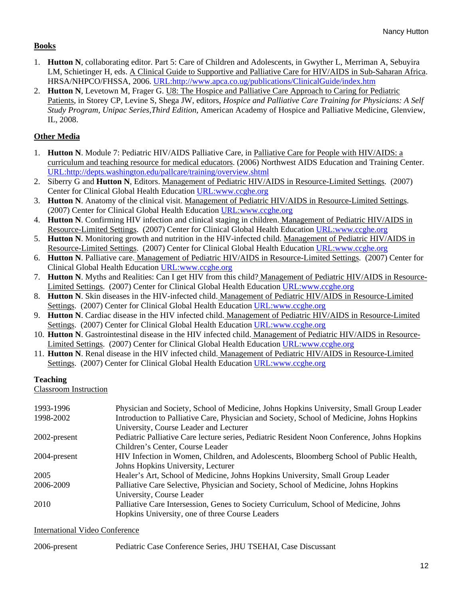### **Books**

- 1. **Hutton N**, collaborating editor. Part 5: Care of Children and Adolescents, in Gwyther L, Merriman A, Sebuyira LM, Schietinger H, eds. A Clinical Guide to Supportive and Palliative Care for HIV/AIDS in Sub-Saharan Africa. HRSA/NHPCO/FHSSA, 2006. [URL:http://www.apca.co.ug/publications/ClinicalGuide/index.htm](http://www.apca.co.ug/publications/ClinicalGuide/index.htm)
- 2. **Hutton N**, Levetown M, Frager G. U8: The Hospice and Palliative Care Approach to Caring for Pediatric Patients, in Storey CP, Levine S, Shega JW, editors*, Hospice and Palliative Care Training for Physicians: A Self Study Program, Unipac Series,Third Edition*, American Academy of Hospice and Palliative Medicine, Glenview, IL, 2008.

# **Other Media**

- 1. **Hutton N**. Module 7: Pediatric HIV/AIDS Palliative Care, in Palliative Care for People with HIV/AIDS: a curriculum and teaching resource for medical educators. (2006) Northwest AIDS Education and Training Center. [URL:http://depts.washington.edu/pallcare/training/overview.shtml](http://depts.washington.edu/pallcare/training/overview.shtml)
- 2. Siberry G and **Hutton N**, Editors. Management of Pediatric HIV/AIDS in Resource-Limited Settings. (2007) Center for Clinical Global Health Education URL:www.ccghe.org
- 3. **Hutton N**. Anatomy of the clinical visit. Management of Pediatric HIV/AIDS in Resource-Limited Settings. (2007) Center for Clinical Global Health Education URL:www.ccghe.org
- 4. **Hutton N**. Confirming HIV infection and clinical staging in children. Management of Pediatric HIV/AIDS in Resource-Limited Settings. (2007) Center for Clinical Global Health Education URL:www.ccghe.org
- 5. **Hutton N**. Monitoring growth and nutrition in the HIV-infected child. Management of Pediatric HIV/AIDS in Resource-Limited Settings. (2007) Center for Clinical Global Health Education URL:www.ccghe.org
- 6. **Hutton N**. Palliative care. Management of Pediatric HIV/AIDS in Resource-Limited Settings. (2007) Center for Clinical Global Health Education URL:www.ccghe.org
- 7. **Hutton N**. Myths and Realities: Can I get HIV from this child? Management of Pediatric HIV/AIDS in Resource-Limited Settings. (2007) Center for Clinical Global Health Education URL:www.ccghe.org
- 8. **Hutton N**. Skin diseases in the HIV-infected child. Management of Pediatric HIV/AIDS in Resource-Limited Settings. (2007) Center for Clinical Global Health Education URL:www.ccghe.org
- 9. **Hutton N**. Cardiac disease in the HIV infected child. Management of Pediatric HIV/AIDS in Resource-Limited Settings. (2007) Center for Clinical Global Health Education URL:www.ccghe.org
- 10. **Hutton N**. Gastrointestinal disease in the HIV infected child. Management of Pediatric HIV/AIDS in Resource-Limited Settings. (2007) Center for Clinical Global Health Education URL:www.ccghe.org
- 11. **Hutton N**. Renal disease in the HIV infected child. Management of Pediatric HIV/AIDS in Resource-Limited Settings. (2007) Center for Clinical Global Health Education URL:www.ccghe.org

### **Teaching**

Classroom Instruction

| 1993-1996    | Physician and Society, School of Medicine, Johns Hopkins University, Small Group Leader     |
|--------------|---------------------------------------------------------------------------------------------|
| 1998-2002    | Introduction to Palliative Care, Physician and Society, School of Medicine, Johns Hopkins   |
|              | University, Course Leader and Lecturer                                                      |
| 2002-present | Pediatric Palliative Care lecture series, Pediatric Resident Noon Conference, Johns Hopkins |
|              | Children's Center, Course Leader                                                            |
| 2004-present | HIV Infection in Women, Children, and Adolescents, Bloomberg School of Public Health,       |
|              | Johns Hopkins University, Lecturer                                                          |
| 2005         | Healer's Art, School of Medicine, Johns Hopkins University, Small Group Leader              |
| 2006-2009    | Palliative Care Selective, Physician and Society, School of Medicine, Johns Hopkins         |
|              | University, Course Leader                                                                   |
| 2010         | Palliative Care Intersession, Genes to Society Curriculum, School of Medicine, Johns        |
|              | Hopkins University, one of three Course Leaders                                             |

### International Video Conference

| 2006-present |  | Pediatric Case Conference Series, JHU TSEHAI, Case Discussant |
|--------------|--|---------------------------------------------------------------|
|--------------|--|---------------------------------------------------------------|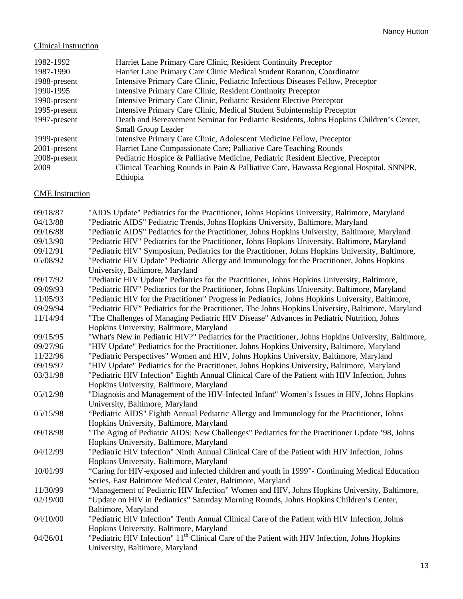### Clinical Instruction

| 1982-1992       | Harriet Lane Primary Care Clinic, Resident Continuity Preceptor                         |
|-----------------|-----------------------------------------------------------------------------------------|
| 1987-1990       | Harriet Lane Primary Care Clinic Medical Student Rotation, Coordinator                  |
| 1988-present    | Intensive Primary Care Clinic, Pediatric Infectious Diseases Fellow, Preceptor          |
| 1990-1995       | Intensive Primary Care Clinic, Resident Continuity Preceptor                            |
| 1990-present    | Intensive Primary Care Clinic, Pediatric Resident Elective Preceptor                    |
| 1995-present    | Intensive Primary Care Clinic, Medical Student Subinternship Preceptor                  |
| 1997-present    | Death and Bereavement Seminar for Pediatric Residents, Johns Hopkins Children's Center, |
|                 | <b>Small Group Leader</b>                                                               |
| 1999-present    | Intensive Primary Care Clinic, Adolescent Medicine Fellow, Preceptor                    |
| $2001$ -present | Harriet Lane Compassionate Care; Palliative Care Teaching Rounds                        |
| 2008-present    | Pediatric Hospice & Palliative Medicine, Pediatric Resident Elective, Preceptor         |
| 2009            | Clinical Teaching Rounds in Pain & Palliative Care, Hawassa Regional Hospital, SNNPR,   |
|                 | Ethiopia                                                                                |

# CME Instruction

| 09/18/87 | "AIDS Update" Pediatrics for the Practitioner, Johns Hopkins University, Baltimore, Maryland              |
|----------|-----------------------------------------------------------------------------------------------------------|
| 04/13/88 | "Pediatric AIDS" Pediatric Trends, Johns Hopkins University, Baltimore, Maryland                          |
| 09/16/88 | "Pediatric AIDS" Pediatrics for the Practitioner, Johns Hopkins University, Baltimore, Maryland           |
| 09/13/90 | "Pediatric HIV" Pediatrics for the Practitioner, Johns Hopkins University, Baltimore, Maryland            |
| 09/12/91 | "Pediatric HIV" Symposium, Pediatrics for the Practitioner, Johns Hopkins University, Baltimore,          |
| 05/08/92 | "Pediatric HIV Update" Pediatric Allergy and Immunology for the Practitioner, Johns Hopkins               |
|          | University, Baltimore, Maryland                                                                           |
| 09/17/92 | "Pediatric HIV Update" Pediatrics for the Practitioner, Johns Hopkins University, Baltimore,              |
| 09/09/93 | "Pediatric HIV" Pediatrics for the Practitioner, Johns Hopkins University, Baltimore, Maryland            |
| 11/05/93 | "Pediatric HIV for the Practitioner" Progress in Pediatrics, Johns Hopkins University, Baltimore,         |
| 09/29/94 | "Pediatric HIV" Pediatrics for the Practitioner, The Johns Hopkins University, Baltimore, Maryland        |
| 11/14/94 | "The Challenges of Managing Pediatric HIV Disease" Advances in Pediatric Nutrition, Johns                 |
|          | Hopkins University, Baltimore, Maryland                                                                   |
| 09/15/95 | "What's New in Pediatric HIV?" Pediatrics for the Practitioner, Johns Hopkins University, Baltimore,      |
| 09/27/96 | "HIV Update" Pediatrics for the Practitioner, Johns Hopkins University, Baltimore, Maryland               |
| 11/22/96 | "Pediatric Perspectives" Women and HIV, Johns Hopkins University, Baltimore, Maryland                     |
| 09/19/97 | "HIV Update" Pediatrics for the Practitioner, Johns Hopkins University, Baltimore, Maryland               |
| 03/31/98 | "Pediatric HIV Infection" Eighth Annual Clinical Care of the Patient with HIV Infection, Johns            |
|          | Hopkins University, Baltimore, Maryland                                                                   |
| 05/12/98 | "Diagnosis and Management of the HIV-Infected Infant" Women's Issues in HIV, Johns Hopkins                |
|          | University, Baltimore, Maryland                                                                           |
| 05/15/98 | "Pediatric AIDS" Eighth Annual Pediatric Allergy and Immunology for the Practitioner, Johns               |
|          | Hopkins University, Baltimore, Maryland                                                                   |
| 09/18/98 | "The Aging of Pediatric AIDS: New Challenges" Pediatrics for the Practitioner Update '98, Johns           |
|          | Hopkins University, Baltimore, Maryland                                                                   |
| 04/12/99 | "Pediatric HIV Infection" Ninth Annual Clinical Care of the Patient with HIV Infection, Johns             |
|          | Hopkins University, Baltimore, Maryland                                                                   |
| 10/01/99 | "Caring for HIV-exposed and infected children and youth in 1999"- Continuing Medical Education            |
|          | Series, East Baltimore Medical Center, Baltimore, Maryland                                                |
| 11/30/99 | "Management of Pediatric HIV Infection" Women and HIV, Johns Hopkins University, Baltimore,               |
| 02/19/00 | "Update on HIV in Pediatrics" Saturday Morning Rounds, Johns Hopkins Children's Center,                   |
|          | Baltimore, Maryland                                                                                       |
| 04/10/00 | "Pediatric HIV Infection" Tenth Annual Clinical Care of the Patient with HIV Infection, Johns             |
|          | Hopkins University, Baltimore, Maryland                                                                   |
| 04/26/01 | "Pediatric HIV Infection" 11 <sup>th</sup> Clinical Care of the Patient with HIV Infection, Johns Hopkins |
|          | University, Baltimore, Maryland                                                                           |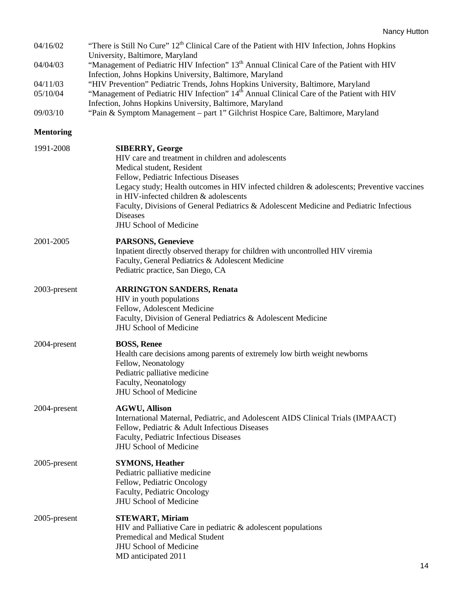| 04/16/02         | "There is Still No Cure" 12 <sup>th</sup> Clinical Care of the Patient with HIV Infection, Johns Hopkins                                                                                                                                                                                                                                                                                                                                 |  |
|------------------|------------------------------------------------------------------------------------------------------------------------------------------------------------------------------------------------------------------------------------------------------------------------------------------------------------------------------------------------------------------------------------------------------------------------------------------|--|
| 04/04/03         | University, Baltimore, Maryland<br>"Management of Pediatric HIV Infection" 13 <sup>th</sup> Annual Clinical Care of the Patient with HIV<br>Infection, Johns Hopkins University, Baltimore, Maryland                                                                                                                                                                                                                                     |  |
| 04/11/03         | "HIV Prevention" Pediatric Trends, Johns Hopkins University, Baltimore, Maryland                                                                                                                                                                                                                                                                                                                                                         |  |
| 05/10/04         | "Management of Pediatric HIV Infection" 14 <sup>th</sup> Annual Clinical Care of the Patient with HIV<br>Infection, Johns Hopkins University, Baltimore, Maryland                                                                                                                                                                                                                                                                        |  |
| 09/03/10         | "Pain & Symptom Management - part 1" Gilchrist Hospice Care, Baltimore, Maryland                                                                                                                                                                                                                                                                                                                                                         |  |
| <b>Mentoring</b> |                                                                                                                                                                                                                                                                                                                                                                                                                                          |  |
| 1991-2008        | <b>SIBERRY, George</b><br>HIV care and treatment in children and adolescents<br>Medical student, Resident<br>Fellow, Pediatric Infectious Diseases<br>Legacy study; Health outcomes in HIV infected children & adolescents; Preventive vaccines<br>in HIV-infected children & adolescents<br>Faculty, Divisions of General Pediatrics & Adolescent Medicine and Pediatric Infectious<br><b>Diseases</b><br><b>JHU School of Medicine</b> |  |
| 2001-2005        | <b>PARSONS, Genevieve</b><br>Inpatient directly observed therapy for children with uncontrolled HIV viremia<br>Faculty, General Pediatrics & Adolescent Medicine<br>Pediatric practice, San Diego, CA                                                                                                                                                                                                                                    |  |
| 2003-present     | <b>ARRINGTON SANDERS, Renata</b><br>HIV in youth populations<br>Fellow, Adolescent Medicine<br>Faculty, Division of General Pediatrics & Adolescent Medicine<br><b>JHU School of Medicine</b>                                                                                                                                                                                                                                            |  |
| 2004-present     | <b>BOSS, Renee</b><br>Health care decisions among parents of extremely low birth weight newborns<br>Fellow, Neonatology<br>Pediatric palliative medicine<br>Faculty, Neonatology<br><b>JHU School of Medicine</b>                                                                                                                                                                                                                        |  |
| 2004-present     | <b>AGWU, Allison</b><br>International Maternal, Pediatric, and Adolescent AIDS Clinical Trials (IMPAACT)<br>Fellow, Pediatric & Adult Infectious Diseases<br>Faculty, Pediatric Infectious Diseases<br><b>JHU School of Medicine</b>                                                                                                                                                                                                     |  |
| 2005-present     | <b>SYMONS, Heather</b><br>Pediatric palliative medicine<br>Fellow, Pediatric Oncology<br>Faculty, Pediatric Oncology<br><b>JHU School of Medicine</b>                                                                                                                                                                                                                                                                                    |  |
| 2005-present     | <b>STEWART, Miriam</b><br>HIV and Palliative Care in pediatric & adolescent populations<br>Premedical and Medical Student<br><b>JHU School of Medicine</b><br>MD anticipated 2011                                                                                                                                                                                                                                                        |  |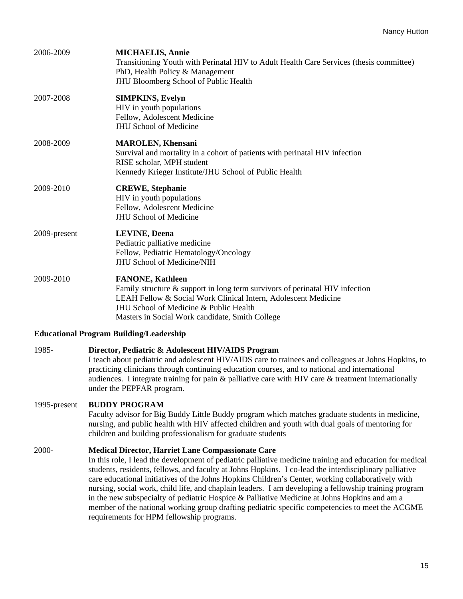| 2006-2009    | <b>MICHAELIS, Annie</b><br>Transitioning Youth with Perinatal HIV to Adult Health Care Services (thesis committee)<br>PhD, Health Policy & Management<br>JHU Bloomberg School of Public Health                                                                                                                                                                                                        |
|--------------|-------------------------------------------------------------------------------------------------------------------------------------------------------------------------------------------------------------------------------------------------------------------------------------------------------------------------------------------------------------------------------------------------------|
| 2007-2008    | <b>SIMPKINS, Evelyn</b><br>HIV in youth populations<br>Fellow, Adolescent Medicine<br><b>JHU School of Medicine</b>                                                                                                                                                                                                                                                                                   |
| 2008-2009    | <b>MAROLEN, Khensani</b><br>Survival and mortality in a cohort of patients with perinatal HIV infection<br>RISE scholar, MPH student<br>Kennedy Krieger Institute/JHU School of Public Health                                                                                                                                                                                                         |
| 2009-2010    | <b>CREWE, Stephanie</b><br>HIV in youth populations<br>Fellow, Adolescent Medicine<br><b>JHU School of Medicine</b>                                                                                                                                                                                                                                                                                   |
| 2009-present | <b>LEVINE, Deena</b><br>Pediatric palliative medicine<br>Fellow, Pediatric Hematology/Oncology<br>JHU School of Medicine/NIH                                                                                                                                                                                                                                                                          |
| 2009-2010    | <b>FANONE, Kathleen</b><br>Family structure & support in long term survivors of perinatal HIV infection<br>LEAH Fellow & Social Work Clinical Intern, Adolescent Medicine<br>JHU School of Medicine & Public Health<br>Masters in Social Work candidate, Smith College                                                                                                                                |
|              | <b>Educational Program Building/Leadership</b>                                                                                                                                                                                                                                                                                                                                                        |
| 1985-        | Director, Pediatric & Adolescent HIV/AIDS Program<br>I teach about pediatric and adolescent HIV/AIDS care to trainees and colleagues at Johns Hopkins, to<br>practicing clinicians through continuing education courses, and to national and international<br>audiences. I integrate training for pain $\&$ palliative care with HIV care $\&$ treatment internationally<br>under the PEPFAR program. |

### 1995-present **BUDDY PROGRAM**

Faculty advisor for Big Buddy Little Buddy program which matches graduate students in medicine, nursing, and public health with HIV affected children and youth with dual goals of mentoring for children and building professionalism for graduate students

### 2000- **Medical Director, Harriet Lane Compassionate Care**

In this role, I lead the development of pediatric palliative medicine training and education for medical students, residents, fellows, and faculty at Johns Hopkins. I co-lead the interdisciplinary palliative care educational initiatives of the Johns Hopkins Children's Center, working collaboratively with nursing, social work, child life, and chaplain leaders. I am developing a fellowship training program in the new subspecialty of pediatric Hospice & Palliative Medicine at Johns Hopkins and am a member of the national working group drafting pediatric specific competencies to meet the ACGME requirements for HPM fellowship programs.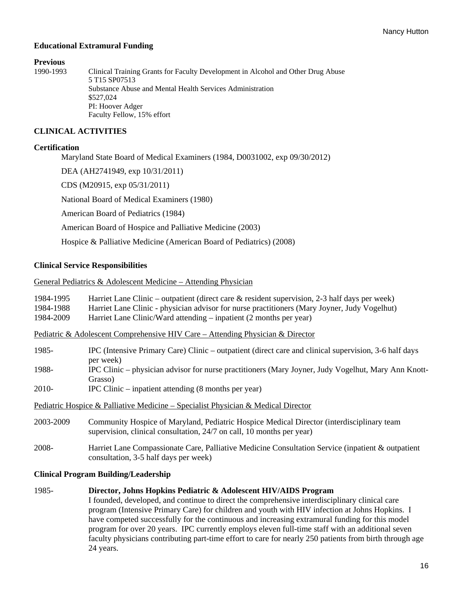### **Educational Extramural Funding**

# **Previous**<br>1990-1993

Clinical Training Grants for Faculty Development in Alcohol and Other Drug Abuse 5 T15 SP07513 Substance Abuse and Mental Health Services Administration \$527,024 PI: Hoover Adger Faculty Fellow, 15% effort

### **CLINICAL ACTIVITIES**

### **Certification**

Maryland State Board of Medical Examiners (1984, D0031002, exp 09/30/2012)

DEA (AH2741949, exp 10/31/2011)

CDS (M20915, exp 05/31/2011)

National Board of Medical Examiners (1980)

American Board of Pediatrics (1984)

American Board of Hospice and Palliative Medicine (2003)

Hospice & Palliative Medicine (American Board of Pediatrics) (2008)

#### **Clinical Service Responsibilities**

#### General Pediatrics & Adolescent Medicine – Attending Physician

| 1984-1995<br>1984-1988<br>1984-2009                                               | Harriet Lane Clinic – outpatient (direct care $\&$ resident supervision, 2-3 half days per week)<br>Harriet Lane Clinic - physician advisor for nurse practitioners (Mary Joyner, Judy Vogelhut)<br>Harriet Lane Clinic/Ward attending – inpatient (2 months per year) |  |
|-----------------------------------------------------------------------------------|------------------------------------------------------------------------------------------------------------------------------------------------------------------------------------------------------------------------------------------------------------------------|--|
|                                                                                   | Pediatric & Adolescent Comprehensive HIV Care – Attending Physician & Director                                                                                                                                                                                         |  |
| 1985-                                                                             | IPC (Intensive Primary Care) Clinic – outpatient (direct care and clinical supervision, 3-6 half days<br>per week)                                                                                                                                                     |  |
| 1988-                                                                             | IPC Clinic - physician advisor for nurse practitioners (Mary Joyner, Judy Vogelhut, Mary Ann Knott-<br>Grasso)                                                                                                                                                         |  |
| 2010-                                                                             | $IPC$ Clinic – inpatient attending $(8 \text{ months per year})$                                                                                                                                                                                                       |  |
| Pediatric Hospice & Palliative Medicine – Specialist Physician & Medical Director |                                                                                                                                                                                                                                                                        |  |
| 2003-2009                                                                         | Community Hospice of Maryland, Pediatric Hospice Medical Director (interdisciplinary team<br>supervision, clinical consultation, 24/7 on call, 10 months per year)                                                                                                     |  |
| 2008-                                                                             | Harriet Lane Compassionate Care, Palliative Medicine Consultation Service (inpatient & outpatient<br>consultation, 3-5 half days per week)                                                                                                                             |  |
| <b>Clinical Program Building/Leadership</b>                                       |                                                                                                                                                                                                                                                                        |  |

1985- **Director, Johns Hopkins Pediatric & Adolescent HIV/AIDS Program** I founded, developed, and continue to direct the comprehensive interdisciplinary clinical care program (Intensive Primary Care) for children and youth with HIV infection at Johns Hopkins. I have competed successfully for the continuous and increasing extramural funding for this model program for over 20 years. IPC currently employs eleven full-time staff with an additional seven faculty physicians contributing part-time effort to care for nearly 250 patients from birth through age 24 years.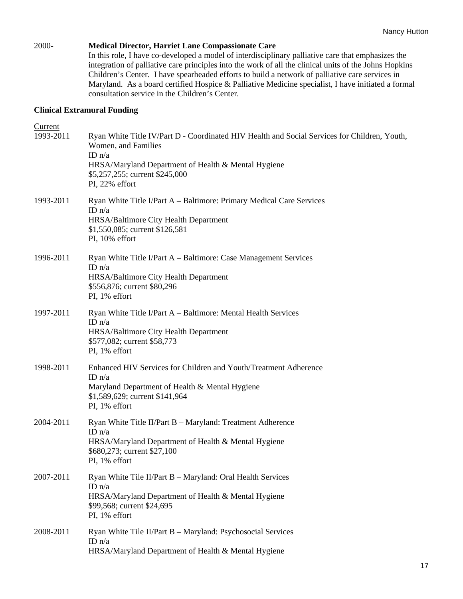### 2000- **Medical Director, Harriet Lane Compassionate Care**

In this role, I have co-developed a model of interdisciplinary palliative care that emphasizes the integration of palliative care principles into the work of all the clinical units of the Johns Hopkins Children's Center. I have spearheaded efforts to build a network of palliative care services in Maryland. As a board certified Hospice & Palliative Medicine specialist, I have initiated a formal consultation service in the Children's Center.

### **Clinical Extramural Funding**

| Current   |                                                                                                                                 |
|-----------|---------------------------------------------------------------------------------------------------------------------------------|
| 1993-2011 | Ryan White Title IV/Part D - Coordinated HIV Health and Social Services for Children, Youth,<br>Women, and Families<br>ID $n/a$ |
|           | HRSA/Maryland Department of Health & Mental Hygiene<br>\$5,257,255; current \$245,000<br>PI, 22% effort                         |
| 1993-2011 | Ryan White Title I/Part A – Baltimore: Primary Medical Care Services<br>ID $n/a$<br>HRSA/Baltimore City Health Department       |
|           | \$1,550,085; current \$126,581<br>PI, 10% effort                                                                                |
| 1996-2011 | Ryan White Title I/Part A – Baltimore: Case Management Services<br>ID $n/a$                                                     |
|           | HRSA/Baltimore City Health Department<br>\$556,876; current \$80,296<br>PI, 1% effort                                           |
| 1997-2011 | Ryan White Title I/Part A - Baltimore: Mental Health Services<br>ID $n/a$                                                       |
|           | HRSA/Baltimore City Health Department<br>\$577,082; current \$58,773<br>PI, 1% effort                                           |
| 1998-2011 | Enhanced HIV Services for Children and Youth/Treatment Adherence<br>ID $n/a$                                                    |
|           | Maryland Department of Health & Mental Hygiene<br>\$1,589,629; current \$141,964<br>PI, 1% effort                               |
| 2004-2011 | Ryan White Title II/Part B - Maryland: Treatment Adherence<br>ID $n/a$                                                          |
|           | HRSA/Maryland Department of Health & Mental Hygiene<br>\$680,273; current \$27,100<br>PI, 1% effort                             |
| 2007-2011 | Ryan White Tile II/Part B - Maryland: Oral Health Services<br>ID $n/a$                                                          |
|           | HRSA/Maryland Department of Health & Mental Hygiene<br>\$99,568; current \$24,695<br>PI, 1% effort                              |
| 2008-2011 | Ryan White Tile II/Part B - Maryland: Psychosocial Services<br>ID $n/a$<br>HRSA/Maryland Department of Health & Mental Hygiene  |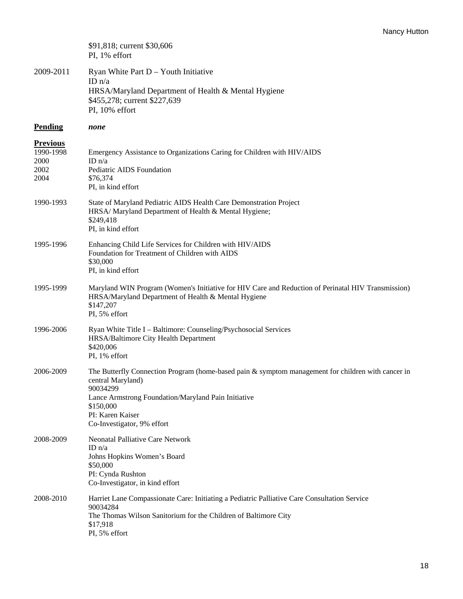|                                                      | \$91,818; current \$30,606<br>PI, 1% effort                                                                                                                                                                                                               |
|------------------------------------------------------|-----------------------------------------------------------------------------------------------------------------------------------------------------------------------------------------------------------------------------------------------------------|
| 2009-2011                                            | Ryan White Part $D - Y$ outh Initiative<br>ID $n/a$<br>HRSA/Maryland Department of Health & Mental Hygiene<br>\$455,278; current \$227,639<br>PI, 10% effort                                                                                              |
| <b>Pending</b>                                       | none                                                                                                                                                                                                                                                      |
| <b>Previous</b><br>1990-1998<br>2000<br>2002<br>2004 | Emergency Assistance to Organizations Caring for Children with HIV/AIDS<br>ID $n/a$<br>Pediatric AIDS Foundation<br>\$76,374<br>PI, in kind effort                                                                                                        |
| 1990-1993                                            | State of Maryland Pediatric AIDS Health Care Demonstration Project<br>HRSA/ Maryland Department of Health & Mental Hygiene;<br>\$249,418<br>PI, in kind effort                                                                                            |
| 1995-1996                                            | Enhancing Child Life Services for Children with HIV/AIDS<br>Foundation for Treatment of Children with AIDS<br>\$30,000<br>PI, in kind effort                                                                                                              |
| 1995-1999                                            | Maryland WIN Program (Women's Initiative for HIV Care and Reduction of Perinatal HIV Transmission)<br>HRSA/Maryland Department of Health & Mental Hygiene<br>\$147,207<br>PI, 5% effort                                                                   |
| 1996-2006                                            | Ryan White Title I - Baltimore: Counseling/Psychosocial Services<br>HRSA/Baltimore City Health Department<br>\$420,006<br>PI, 1% effort                                                                                                                   |
| 2006-2009                                            | The Butterfly Connection Program (home-based pain & symptom management for children with cancer in<br>central Maryland)<br>90034299<br>Lance Armstrong Foundation/Maryland Pain Initiative<br>\$150,000<br>PI: Karen Kaiser<br>Co-Investigator, 9% effort |
| 2008-2009                                            | <b>Neonatal Palliative Care Network</b><br>ID $n/a$<br>Johns Hopkins Women's Board<br>\$50,000<br>PI: Cynda Rushton<br>Co-Investigator, in kind effort                                                                                                    |
| 2008-2010                                            | Harriet Lane Compassionate Care: Initiating a Pediatric Palliative Care Consultation Service<br>90034284<br>The Thomas Wilson Sanitorium for the Children of Baltimore City<br>\$17,918<br>PI, 5% effort                                                  |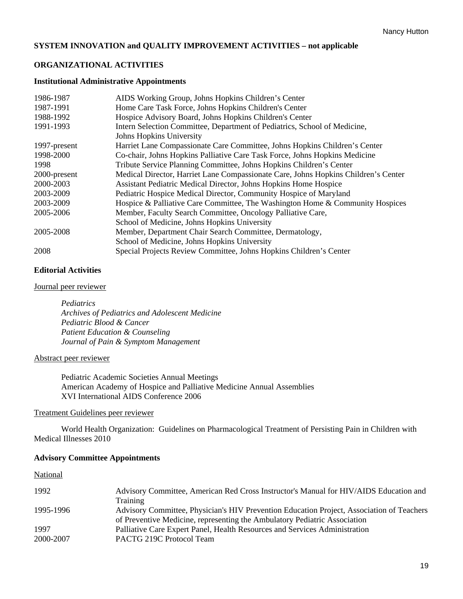### **SYSTEM INNOVATION and QUALITY IMPROVEMENT ACTIVITIES – not applicable**

### **ORGANIZATIONAL ACTIVITIES**

#### **Institutional Administrative Appointments**

| 1986-1987    | AIDS Working Group, Johns Hopkins Children's Center                                |
|--------------|------------------------------------------------------------------------------------|
| 1987-1991    | Home Care Task Force, Johns Hopkins Children's Center                              |
| 1988-1992    | Hospice Advisory Board, Johns Hopkins Children's Center                            |
| 1991-1993    | Intern Selection Committee, Department of Pediatrics, School of Medicine,          |
|              | Johns Hopkins University                                                           |
| 1997-present | Harriet Lane Compassionate Care Committee, Johns Hopkins Children's Center         |
| 1998-2000    | Co-chair, Johns Hopkins Palliative Care Task Force, Johns Hopkins Medicine         |
| 1998         | Tribute Service Planning Committee, Johns Hopkins Children's Center                |
| 2000-present | Medical Director, Harriet Lane Compassionate Care, Johns Hopkins Children's Center |
| 2000-2003    | Assistant Pediatric Medical Director, Johns Hopkins Home Hospice                   |
| 2003-2009    | Pediatric Hospice Medical Director, Community Hospice of Maryland                  |
| 2003-2009    | Hospice & Palliative Care Committee, The Washington Home & Community Hospices      |
| 2005-2006    | Member, Faculty Search Committee, Oncology Palliative Care,                        |
|              | School of Medicine, Johns Hopkins University                                       |
| 2005-2008    | Member, Department Chair Search Committee, Dermatology,                            |
|              | School of Medicine, Johns Hopkins University                                       |
| 2008         | Special Projects Review Committee, Johns Hopkins Children's Center                 |

### **Editorial Activities**

#### Journal peer reviewer

*Pediatrics Archives of Pediatrics and Adolescent Medicine Pediatric Blood & Cancer Patient Education & Counseling Journal of Pain & Symptom Management* 

#### Abstract peer reviewer

Pediatric Academic Societies Annual Meetings American Academy of Hospice and Palliative Medicine Annual Assemblies XVI International AIDS Conference 2006

#### Treatment Guidelines peer reviewer

World Health Organization: Guidelines on Pharmacological Treatment of Persisting Pain in Children with Medical Illnesses 2010

#### **Advisory Committee Appointments**

| vational |
|----------|
|----------|

| 1992      | Advisory Committee, American Red Cross Instructor's Manual for HIV/AIDS Education and     |
|-----------|-------------------------------------------------------------------------------------------|
|           | Training                                                                                  |
| 1995-1996 | Advisory Committee, Physician's HIV Prevention Education Project, Association of Teachers |
|           | of Preventive Medicine, representing the Ambulatory Pediatric Association                 |
| 1997      | Palliative Care Expert Panel, Health Resources and Services Administration                |
| 2000-2007 | PACTG 219C Protocol Team                                                                  |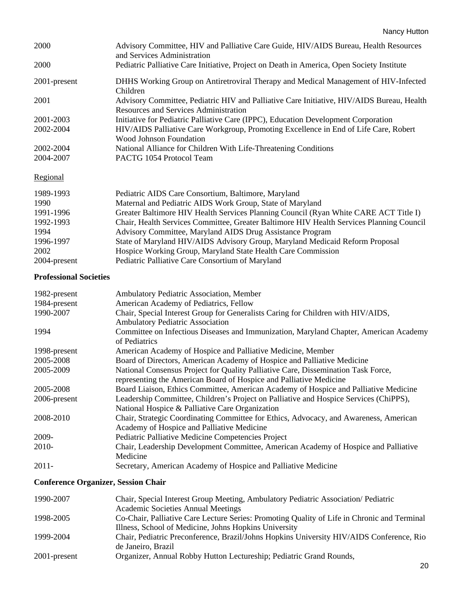| 2000         | Advisory Committee, HIV and Palliative Care Guide, HIV/AIDS Bureau, Health Resources<br>and Services Administration                |
|--------------|------------------------------------------------------------------------------------------------------------------------------------|
| 2000         | Pediatric Palliative Care Initiative, Project on Death in America, Open Society Institute                                          |
| 2001-present | DHHS Working Group on Antiretroviral Therapy and Medical Management of HIV-Infected<br>Children                                    |
| 2001         | Advisory Committee, Pediatric HIV and Palliative Care Initiative, HIV/AIDS Bureau, Health<br>Resources and Services Administration |
| 2001-2003    | Initiative for Pediatric Palliative Care (IPPC), Education Development Corporation                                                 |
| 2002-2004    | HIV/AIDS Palliative Care Workgroup, Promoting Excellence in End of Life Care, Robert<br><b>Wood Johnson Foundation</b>             |
| 2002-2004    | National Alliance for Children With Life-Threatening Conditions                                                                    |
| 2004-2007    | PACTG 1054 Protocol Team                                                                                                           |
| Regional     |                                                                                                                                    |
| 1989-1993    | Pediatric AIDS Care Consortium, Baltimore, Maryland                                                                                |
| 1990         | Maternal and Pediatric AIDS Work Group, State of Maryland                                                                          |
| 1991-1996    | Greater Baltimore HIV Health Services Planning Council (Ryan White CARE ACT Title I)                                               |
| 1992-1993    | Chair, Health Services Committee, Greater Baltimore HIV Health Services Planning Council                                           |
| 1994         | Advisory Committee, Maryland AIDS Drug Assistance Program                                                                          |

- 1996-1997 State of Maryland HIV/AIDS Advisory Group, Maryland Medicaid Reform Proposal
- 2002 Hospice Working Group, Maryland State Health Care Commission
- 2004-present Pediatric Palliative Care Consortium of Maryland

### **Professional Societies**

| 1982-present                               | Ambulatory Pediatric Association, Member                                              |
|--------------------------------------------|---------------------------------------------------------------------------------------|
| 1984-present                               | American Academy of Pediatrics, Fellow                                                |
| 1990-2007                                  | Chair, Special Interest Group for Generalists Caring for Children with HIV/AIDS,      |
|                                            | <b>Ambulatory Pediatric Association</b>                                               |
| 1994                                       | Committee on Infectious Diseases and Immunization, Maryland Chapter, American Academy |
|                                            | of Pediatrics                                                                         |
| 1998-present                               | American Academy of Hospice and Palliative Medicine, Member                           |
| 2005-2008                                  | Board of Directors, American Academy of Hospice and Palliative Medicine               |
| 2005-2009                                  | National Consensus Project for Quality Palliative Care, Dissemination Task Force,     |
|                                            | representing the American Board of Hospice and Palliative Medicine                    |
| 2005-2008                                  | Board Liaison, Ethics Committee, American Academy of Hospice and Palliative Medicine  |
| 2006-present                               | Leadership Committee, Children's Project on Palliative and Hospice Services (ChiPPS), |
|                                            | National Hospice & Palliative Care Organization                                       |
| 2008-2010                                  | Chair, Strategic Coordinating Committee for Ethics, Advocacy, and Awareness, American |
|                                            | Academy of Hospice and Palliative Medicine                                            |
| 2009-                                      | Pediatric Palliative Medicine Competencies Project                                    |
| 2010-                                      | Chair, Leadership Development Committee, American Academy of Hospice and Palliative   |
|                                            | Medicine                                                                              |
| $2011 -$                                   | Secretary, American Academy of Hospice and Palliative Medicine                        |
| <b>Conference Organizer, Session Chair</b> |                                                                                       |
| 1990-2007                                  | Chair, Special Interest Group Meeting, Ambulatory Pediatric Association/Pediatric     |

| 1990-2007    | Chair, Special Interest Group Meeting, Ambulatory Pediatric Association/ Pediatric          |
|--------------|---------------------------------------------------------------------------------------------|
|              | <b>Academic Societies Annual Meetings</b>                                                   |
| 1998-2005    | Co-Chair, Palliative Care Lecture Series: Promoting Quality of Life in Chronic and Terminal |
|              | Illness, School of Medicine, Johns Hopkins University                                       |
| 1999-2004    | Chair, Pediatric Preconference, Brazil/Johns Hopkins University HIV/AIDS Conference, Rio    |
|              | de Janeiro, Brazil                                                                          |
| 2001-present | Organizer, Annual Robby Hutton Lectureship; Pediatric Grand Rounds,                         |
|              |                                                                                             |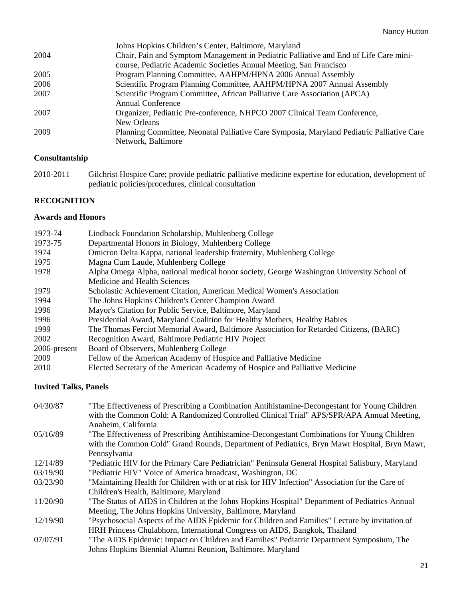|      | Johns Hopkins Children's Center, Baltimore, Maryland                                      |
|------|-------------------------------------------------------------------------------------------|
| 2004 | Chair, Pain and Symptom Management in Pediatric Palliative and End of Life Care mini-     |
|      | course, Pediatric Academic Societies Annual Meeting, San Francisco                        |
| 2005 | Program Planning Committee, AAHPM/HPNA 2006 Annual Assembly                               |
| 2006 | Scientific Program Planning Committee, AAHPM/HPNA 2007 Annual Assembly                    |
| 2007 | Scientific Program Committee, African Palliative Care Association (APCA)                  |
|      | Annual Conference                                                                         |
| 2007 | Organizer, Pediatric Pre-conference, NHPCO 2007 Clinical Team Conference,                 |
|      | New Orleans                                                                               |
| 2009 | Planning Committee, Neonatal Palliative Care Symposia, Maryland Pediatric Palliative Care |
|      | Network, Baltimore                                                                        |
|      |                                                                                           |

### **Consultantship**

2010-2011 Gilchrist Hospice Care; provide pediatric palliative medicine expertise for education, development of pediatric policies/procedures, clinical consultation

### **RECOGNITION**

### **Awards and Honors**

| 1973-74      | Lindback Foundation Scholarship, Muhlenberg College                                       |
|--------------|-------------------------------------------------------------------------------------------|
| 1973-75      | Departmental Honors in Biology, Muhlenberg College                                        |
| 1974         | Omicron Delta Kappa, national leadership fraternity, Muhlenberg College                   |
| 1975         | Magna Cum Laude, Muhlenberg College                                                       |
| 1978         | Alpha Omega Alpha, national medical honor society, George Washington University School of |
|              | Medicine and Health Sciences                                                              |
| 1979         | Scholastic Achievement Citation, American Medical Women's Association                     |
| 1994         | The Johns Hopkins Children's Center Champion Award                                        |
| 1996         | Mayor's Citation for Public Service, Baltimore, Maryland                                  |
| 1996         | Presidential Award, Maryland Coalition for Healthy Mothers, Healthy Babies                |
| 1999         | The Thomas Ferciot Memorial Award, Baltimore Association for Retarded Citizens, (BARC)    |
| 2002         | Recognition Award, Baltimore Pediatric HIV Project                                        |
| 2006-present | Board of Observers, Muhlenberg College                                                    |
| 2009         | Fellow of the American Academy of Hospice and Palliative Medicine                         |
| 2010         | Elected Secretary of the American Academy of Hospice and Palliative Medicine              |

### **Invited Talks, Panels**

| 04/30/87 | "The Effectiveness of Prescribing a Combination Antihistamine-Decongestant for Young Children<br>with the Common Cold: A Randomized Controlled Clinical Trial" APS/SPR/APA Annual Meeting, |
|----------|--------------------------------------------------------------------------------------------------------------------------------------------------------------------------------------------|
|          | Anaheim, California                                                                                                                                                                        |
| 05/16/89 | "The Effectiveness of Prescribing Antihistamine-Decongestant Combinations for Young Children                                                                                               |
|          | with the Common Cold" Grand Rounds, Department of Pediatrics, Bryn Mawr Hospital, Bryn Mawr,                                                                                               |
|          | Pennsylvania                                                                                                                                                                               |
| 12/14/89 | "Pediatric HIV for the Primary Care Pediatrician" Peninsula General Hospital Salisbury, Maryland                                                                                           |
| 03/19/90 | "Pediatric HIV" Voice of America broadcast, Washington, DC                                                                                                                                 |
| 03/23/90 | "Maintaining Health for Children with or at risk for HIV Infection" Association for the Care of                                                                                            |
|          | Children's Health, Baltimore, Maryland                                                                                                                                                     |
| 11/20/90 | "The Status of AIDS in Children at the Johns Hopkins Hospital" Department of Pediatrics Annual                                                                                             |
|          | Meeting, The Johns Hopkins University, Baltimore, Maryland                                                                                                                                 |
| 12/19/90 | "Psychosocial Aspects of the AIDS Epidemic for Children and Families" Lecture by invitation of                                                                                             |
|          | HRH Princess Chulabhorn, International Congress on AIDS, Bangkok, Thailand                                                                                                                 |
| 07/07/91 | "The AIDS Epidemic: Impact on Children and Families" Pediatric Department Symposium, The                                                                                                   |
|          | Johns Hopkins Biennial Alumni Reunion, Baltimore, Maryland                                                                                                                                 |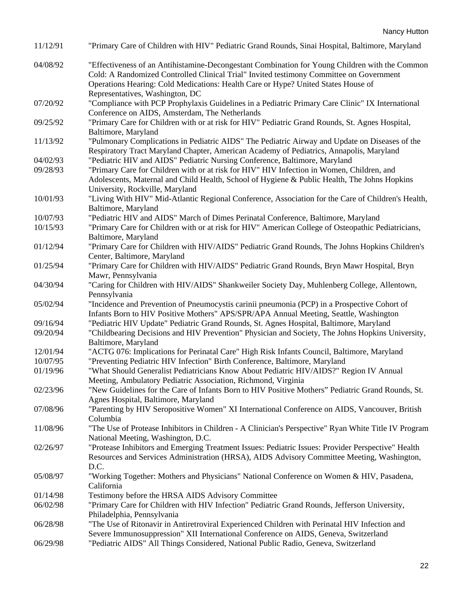| 11/12/91 | "Primary Care of Children with HIV" Pediatric Grand Rounds, Sinai Hospital, Baltimore, Maryland                                                                                                                                                                                                                   |
|----------|-------------------------------------------------------------------------------------------------------------------------------------------------------------------------------------------------------------------------------------------------------------------------------------------------------------------|
| 04/08/92 | "Effectiveness of an Antihistamine-Decongestant Combination for Young Children with the Common<br>Cold: A Randomized Controlled Clinical Trial" Invited testimony Committee on Government<br>Operations Hearing: Cold Medications: Health Care or Hype? United States House of<br>Representatives, Washington, DC |
| 07/20/92 | "Compliance with PCP Prophylaxis Guidelines in a Pediatric Primary Care Clinic" IX International<br>Conference on AIDS, Amsterdam, The Netherlands                                                                                                                                                                |
| 09/25/92 | "Primary Care for Children with or at risk for HIV" Pediatric Grand Rounds, St. Agnes Hospital,<br>Baltimore, Maryland                                                                                                                                                                                            |
| 11/13/92 | "Pulmonary Complications in Pediatric AIDS" The Pediatric Airway and Update on Diseases of the<br>Respiratory Tract Maryland Chapter, American Academy of Pediatrics, Annapolis, Maryland                                                                                                                         |
| 04/02/93 | "Pediatric HIV and AIDS" Pediatric Nursing Conference, Baltimore, Maryland                                                                                                                                                                                                                                        |
| 09/28/93 | "Primary Care for Children with or at risk for HIV" HIV Infection in Women, Children, and<br>Adolescents, Maternal and Child Health, School of Hygiene & Public Health, The Johns Hopkins<br>University, Rockville, Maryland                                                                                      |
| 10/01/93 | "Living With HIV" Mid-Atlantic Regional Conference, Association for the Care of Children's Health,<br>Baltimore, Maryland                                                                                                                                                                                         |
| 10/07/93 | "Pediatric HIV and AIDS" March of Dimes Perinatal Conference, Baltimore, Maryland                                                                                                                                                                                                                                 |
| 10/15/93 | "Primary Care for Children with or at risk for HIV" American College of Osteopathic Pediatricians,<br>Baltimore, Maryland                                                                                                                                                                                         |
| 01/12/94 | "Primary Care for Children with HIV/AIDS" Pediatric Grand Rounds, The Johns Hopkins Children's<br>Center, Baltimore, Maryland                                                                                                                                                                                     |
| 01/25/94 | "Primary Care for Children with HIV/AIDS" Pediatric Grand Rounds, Bryn Mawr Hospital, Bryn<br>Mawr, Pennsylvania                                                                                                                                                                                                  |
| 04/30/94 | "Caring for Children with HIV/AIDS" Shankweiler Society Day, Muhlenberg College, Allentown,<br>Pennsylvania                                                                                                                                                                                                       |
| 05/02/94 | "Incidence and Prevention of Pneumocystis carinii pneumonia (PCP) in a Prospective Cohort of<br>Infants Born to HIV Positive Mothers" APS/SPR/APA Annual Meeting, Seattle, Washington                                                                                                                             |
| 09/16/94 | "Pediatric HIV Update" Pediatric Grand Rounds, St. Agnes Hospital, Baltimore, Maryland                                                                                                                                                                                                                            |
| 09/20/94 | "Childbearing Decisions and HIV Prevention" Physician and Society, The Johns Hopkins University,<br>Baltimore, Maryland                                                                                                                                                                                           |
| 12/01/94 | "ACTG 076: Implications for Perinatal Care" High Risk Infants Council, Baltimore, Maryland                                                                                                                                                                                                                        |
| 10/07/95 | "Preventing Pediatric HIV Infection" Birth Conference, Baltimore, Maryland                                                                                                                                                                                                                                        |
| 01/19/96 | "What Should Generalist Pediatricians Know About Pediatric HIV/AIDS?" Region IV Annual<br>Meeting, Ambulatory Pediatric Association, Richmond, Virginia                                                                                                                                                           |
| 02/23/96 | "New Guidelines for the Care of Infants Born to HIV Positive Mothers" Pediatric Grand Rounds, St.<br>Agnes Hospital, Baltimore, Maryland                                                                                                                                                                          |
| 07/08/96 | "Parenting by HIV Seropositive Women" XI International Conference on AIDS, Vancouver, British<br>Columbia                                                                                                                                                                                                         |
| 11/08/96 | "The Use of Protease Inhibitors in Children - A Clinician's Perspective" Ryan White Title IV Program<br>National Meeting, Washington, D.C.                                                                                                                                                                        |
| 02/26/97 | "Protease Inhibitors and Emerging Treatment Issues: Pediatric Issues: Provider Perspective" Health<br>Resources and Services Administration (HRSA), AIDS Advisory Committee Meeting, Washington,<br>D.C.                                                                                                          |
| 05/08/97 | "Working Together: Mothers and Physicians" National Conference on Women & HIV, Pasadena,<br>California                                                                                                                                                                                                            |
| 01/14/98 | Testimony before the HRSA AIDS Advisory Committee                                                                                                                                                                                                                                                                 |
| 06/02/98 | "Primary Care for Children with HIV Infection" Pediatric Grand Rounds, Jefferson University,                                                                                                                                                                                                                      |
|          | Philadelphia, Pennsylvania                                                                                                                                                                                                                                                                                        |
| 06/28/98 | "The Use of Ritonavir in Antiretroviral Experienced Children with Perinatal HIV Infection and<br>Severe Immunosuppression" XII International Conference on AIDS, Geneva, Switzerland                                                                                                                              |
| 06/29/98 | "Pediatric AIDS" All Things Considered, National Public Radio, Geneva, Switzerland                                                                                                                                                                                                                                |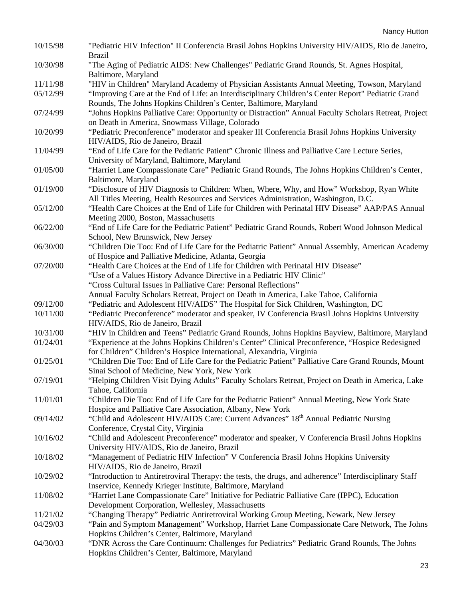| 10/15/98 | "Pediatric HIV Infection" II Conferencia Brasil Johns Hopkins University HIV/AIDS, Rio de Janeiro,<br><b>Brazil</b>                 |
|----------|-------------------------------------------------------------------------------------------------------------------------------------|
| 10/30/98 | "The Aging of Pediatric AIDS: New Challenges" Pediatric Grand Rounds, St. Agnes Hospital,<br>Baltimore, Maryland                    |
| 11/11/98 | "HIV in Children" Maryland Academy of Physician Assistants Annual Meeting, Towson, Maryland                                         |
| 05/12/99 | "Improving Care at the End of Life: an Interdisciplinary Children's Center Report" Pediatric Grand                                  |
|          | Rounds, The Johns Hopkins Children's Center, Baltimore, Maryland                                                                    |
| 07/24/99 | "Johns Hopkins Palliative Care: Opportunity or Distraction" Annual Faculty Scholars Retreat, Project                                |
|          | on Death in America, Snowmass Village, Colorado                                                                                     |
| 10/20/99 | "Pediatric Preconference" moderator and speaker III Conferencia Brasil Johns Hopkins University<br>HIV/AIDS, Rio de Janeiro, Brazil |
| 11/04/99 | "End of Life Care for the Pediatric Patient" Chronic Illness and Palliative Care Lecture Series,                                    |
|          | University of Maryland, Baltimore, Maryland                                                                                         |
| 01/05/00 | "Harriet Lane Compassionate Care" Pediatric Grand Rounds, The Johns Hopkins Children's Center,                                      |
|          | Baltimore, Maryland                                                                                                                 |
| 01/19/00 | "Disclosure of HIV Diagnosis to Children: When, Where, Why, and How" Workshop, Ryan White                                           |
|          | All Titles Meeting, Health Resources and Services Administration, Washington, D.C.                                                  |
| 05/12/00 | "Health Care Choices at the End of Life for Children with Perinatal HIV Disease" AAP/PAS Annual                                     |
|          | Meeting 2000, Boston, Massachusetts                                                                                                 |
| 06/22/00 | "End of Life Care for the Pediatric Patient" Pediatric Grand Rounds, Robert Wood Johnson Medical                                    |
|          | School, New Brunswick, New Jersey                                                                                                   |
| 06/30/00 | "Children Die Too: End of Life Care for the Pediatric Patient" Annual Assembly, American Academy                                    |
|          | of Hospice and Palliative Medicine, Atlanta, Georgia                                                                                |
| 07/20/00 | "Health Care Choices at the End of Life for Children with Perinatal HIV Disease"                                                    |
|          | "Use of a Values History Advance Directive in a Pediatric HIV Clinic"                                                               |
|          | "Cross Cultural Issues in Palliative Care: Personal Reflections"                                                                    |
|          | Annual Faculty Scholars Retreat, Project on Death in America, Lake Tahoe, California                                                |
| 09/12/00 | "Pediatric and Adolescent HIV/AIDS" The Hospital for Sick Children, Washington, DC                                                  |
| 10/11/00 | "Pediatric Preconference" moderator and speaker, IV Conferencia Brasil Johns Hopkins University<br>HIV/AIDS, Rio de Janeiro, Brazil |
| 10/31/00 | "HIV in Children and Teens" Pediatric Grand Rounds, Johns Hopkins Bayview, Baltimore, Maryland                                      |
| 01/24/01 | "Experience at the Johns Hopkins Children's Center" Clinical Preconference, "Hospice Redesigned                                     |
|          | for Children" Children's Hospice International, Alexandria, Virginia                                                                |
| 01/25/01 | "Children Die Too: End of Life Care for the Pediatric Patient" Palliative Care Grand Rounds, Mount                                  |
|          | Sinai School of Medicine, New York, New York                                                                                        |
| 07/19/01 | 'Helping Children Visit Dying Adults" Faculty Scholars Retreat, Project on Death in America, Lake                                   |
|          | Tahoe, California                                                                                                                   |
| 11/01/01 | "Children Die Too: End of Life Care for the Pediatric Patient" Annual Meeting, New York State                                       |
|          | Hospice and Palliative Care Association, Albany, New York                                                                           |
| 09/14/02 | "Child and Adolescent HIV/AIDS Care: Current Advances" 18 <sup>th</sup> Annual Pediatric Nursing                                    |
|          | Conference, Crystal City, Virginia                                                                                                  |
| 10/16/02 | "Child and Adolescent Preconference" moderator and speaker, V Conferencia Brasil Johns Hopkins                                      |
|          | University HIV/AIDS, Rio de Janeiro, Brazil                                                                                         |
| 10/18/02 | "Management of Pediatric HIV Infection" V Conferencia Brasil Johns Hopkins University                                               |
|          | HIV/AIDS, Rio de Janeiro, Brazil                                                                                                    |
| 10/29/02 | "Introduction to Antiretroviral Therapy: the tests, the drugs, and adherence" Interdisciplinary Staff                               |
|          | Inservice, Kennedy Krieger Institute, Baltimore, Maryland                                                                           |
| 11/08/02 | "Harriet Lane Compassionate Care" Initiative for Pediatric Palliative Care (IPPC), Education                                        |
|          | Development Corporation, Wellesley, Massachusetts                                                                                   |
| 11/21/02 | "Changing Therapy" Pediatric Antiretroviral Working Group Meeting, Newark, New Jersey                                               |
| 04/29/03 | "Pain and Symptom Management" Workshop, Harriet Lane Compassionate Care Network, The Johns                                          |
|          | Hopkins Children's Center, Baltimore, Maryland                                                                                      |
| 04/30/03 | "DNR Across the Care Continuum: Challenges for Pediatrics" Pediatric Grand Rounds, The Johns                                        |
|          | Hopkins Children's Center, Baltimore, Maryland                                                                                      |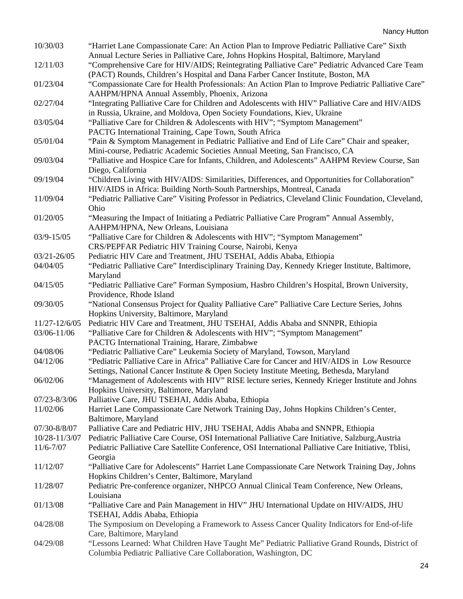| 10/30/03         | "Harriet Lane Compassionate Care: An Action Plan to Improve Pediatric Palliative Care" Sixth                                                                                           |
|------------------|----------------------------------------------------------------------------------------------------------------------------------------------------------------------------------------|
| 12/11/03         | Annual Lecture Series in Palliative Care, Johns Hopkins Hospital, Baltimore, Maryland<br>"Comprehensive Care for HIV/AIDS; Reintegrating Palliative Care" Pediatric Advanced Care Team |
| 01/23/04         | (PACT) Rounds, Children's Hospital and Dana Farber Cancer Institute, Boston, MA<br>"Compassionate Care for Health Professionals: An Action Plan to Improve Pediatric Palliative Care"  |
|                  | AAHPM/HPNA Annual Assembly, Phoenix, Arizona                                                                                                                                           |
| 02/27/04         | "Integrating Palliative Care for Children and Adolescents with HIV" Palliative Care and HIV/AIDS                                                                                       |
|                  | in Russia, Ukraine, and Moldova, Open Society Foundations, Kiev, Ukraine                                                                                                               |
| 03/05/04         | "Palliative Care for Children & Adolescents with HIV"; "Symptom Management"                                                                                                            |
|                  | PACTG International Training, Cape Town, South Africa                                                                                                                                  |
| 05/01/04         | "Pain & Symptom Management in Pediatric Palliative and End of Life Care" Chair and speaker,                                                                                            |
|                  | Mini-course, Pediatric Academic Societies Annual Meeting, San Francisco, CA                                                                                                            |
| 09/03/04         | "Palliative and Hospice Care for Infants, Children, and Adolescents" AAHPM Review Course, San                                                                                          |
|                  | Diego, California                                                                                                                                                                      |
| 09/19/04         | "Children Living with HIV/AIDS: Similarities, Differences, and Opportunities for Collaboration"                                                                                        |
|                  | HIV/AIDS in Africa: Building North-South Partnerships, Montreal, Canada                                                                                                                |
| 11/09/04         | "Pediatric Palliative Care" Visiting Professor in Pediatrics, Cleveland Clinic Foundation, Cleveland,                                                                                  |
|                  | Ohio                                                                                                                                                                                   |
| 01/20/05         | "Measuring the Impact of Initiating a Pediatric Palliative Care Program" Annual Assembly,<br>AAHPM/HPNA, New Orleans, Louisiana                                                        |
| 03/9-15/05       | "Palliative Care for Children & Adolescents with HIV"; "Symptom Management"                                                                                                            |
|                  | CRS/PEPFAR Pediatric HIV Training Course, Nairobi, Kenya                                                                                                                               |
| 03/21-26/05      | Pediatric HIV Care and Treatment, JHU TSEHAI, Addis Ababa, Ethiopia                                                                                                                    |
| 04/04/05         | "Pediatric Palliative Care" Interdisciplinary Training Day, Kennedy Krieger Institute, Baltimore,                                                                                      |
|                  | Maryland                                                                                                                                                                               |
| 04/15/05         | "Pediatric Palliative Care" Forman Symposium, Hasbro Children's Hospital, Brown University,                                                                                            |
|                  | Providence, Rhode Island                                                                                                                                                               |
| 09/30/05         | "National Consensus Project for Quality Palliative Care" Palliative Care Lecture Series, Johns<br>Hopkins University, Baltimore, Maryland                                              |
| 11/27-12/6/05    | Pediatric HIV Care and Treatment, JHU TSEHAI, Addis Ababa and SNNPR, Ethiopia                                                                                                          |
| 03/06-11/06      | "Palliative Care for Children & Adolescents with HIV"; "Symptom Management"                                                                                                            |
|                  | PACTG International Training, Harare, Zimbabwe                                                                                                                                         |
| 04/08/06         | "Pediatric Palliative Care" Leukemia Society of Maryland, Towson, Maryland                                                                                                             |
| 04/12/06         | "Pediatric Palliative Care in Africa" Palliative Care for Cancer and HIV/AIDS in Low Resource                                                                                          |
|                  | Settings, National Cancer Institute & Open Society Institute Meeting, Bethesda, Maryland                                                                                               |
| 06/02/06         | "Management of Adolescents with HIV" RISE lecture series, Kennedy Krieger Institute and Johns                                                                                          |
|                  | Hopkins University, Baltimore, Maryland                                                                                                                                                |
| $07/23 - 8/3/06$ | Palliative Care, JHU TSEHAI, Addis Ababa, Ethiopia                                                                                                                                     |
| 11/02/06         | Harriet Lane Compassionate Care Network Training Day, Johns Hopkins Children's Center,                                                                                                 |
|                  | Baltimore, Maryland                                                                                                                                                                    |
| 07/30-8/8/07     | Palliative Care and Pediatric HIV, JHU TSEHAI, Addis Ababa and SNNPR, Ethiopia                                                                                                         |
| 10/28-11/3/07    | Pediatric Palliative Care Course, OSI International Palliative Care Initiative, Salzburg, Austria                                                                                      |
| $11/6 - 7/07$    | Pediatric Palliative Care Satellite Conference, OSI International Palliative Care Initiative, Tblisi,                                                                                  |
|                  | Georgia                                                                                                                                                                                |
| 11/12/07         | "Palliative Care for Adolescents" Harriet Lane Compassionate Care Network Training Day, Johns                                                                                          |
|                  | Hopkins Children's Center, Baltimore, Maryland                                                                                                                                         |
| 11/28/07         | Pediatric Pre-conference organizer, NHPCO Annual Clinical Team Conference, New Orleans,                                                                                                |
|                  | Louisiana                                                                                                                                                                              |
| 01/13/08         | "Palliative Care and Pain Management in HIV" JHU International Update on HIV/AIDS, JHU                                                                                                 |
|                  | TSEHAI, Addis Ababa, Ethiopia                                                                                                                                                          |
| 04/28/08         | The Symposium on Developing a Framework to Assess Cancer Quality Indicators for End-of-life                                                                                            |
|                  | Care, Baltimore, Maryland                                                                                                                                                              |
| 04/29/08         | "Lessons Learned: What Children Have Taught Me" Pediatric Palliative Grand Rounds, District of                                                                                         |
|                  | Columbia Pediatric Palliative Care Collaboration, Washington, DC                                                                                                                       |